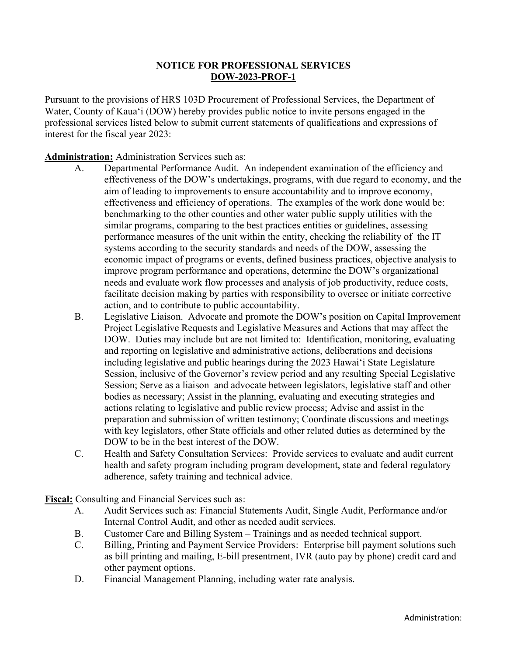### **NOTICE FOR PROFESSIONAL SERVICES DOW-2023-PROF-1**

Pursuant to the provisions of HRS 103D Procurement of Professional Services, the Department of Water, County of Kaua'i (DOW) hereby provides public notice to invite persons engaged in the professional services listed below to submit current statements of qualifications and expressions of interest for the fiscal year 2023:

**Administration:** Administration Services such as:

- A. Departmental Performance Audit. An independent examination of the efficiency and effectiveness of the DOW's undertakings, programs, with due regard to economy, and the aim of leading to improvements to ensure accountability and to improve economy, effectiveness and efficiency of operations. The examples of the work done would be: benchmarking to the other counties and other water public supply utilities with the similar programs, comparing to the best practices entities or guidelines, assessing performance measures of the unit within the entity, checking the reliability of the IT systems according to the security standards and needs of the DOW, assessing the economic impact of programs or events, defined business practices, objective analysis to improve program performance and operations, determine the DOW's organizational needs and evaluate work flow processes and analysis of job productivity, reduce costs, facilitate decision making by parties with responsibility to oversee or initiate corrective action, and to contribute to public accountability.
- B. Legislative Liaison. Advocate and promote the DOW's position on Capital Improvement Project Legislative Requests and Legislative Measures and Actions that may affect the DOW. Duties may include but are not limited to: Identification, monitoring, evaluating and reporting on legislative and administrative actions, deliberations and decisions including legislative and public hearings during the 2023 Hawaiʻi State Legislature Session, inclusive of the Governor's review period and any resulting Special Legislative Session; Serve as a liaison and advocate between legislators, legislative staff and other bodies as necessary; Assist in the planning, evaluating and executing strategies and actions relating to legislative and public review process; Advise and assist in the preparation and submission of written testimony; Coordinate discussions and meetings with key legislators, other State officials and other related duties as determined by the DOW to be in the best interest of the DOW.
- C. Health and Safety Consultation Services: Provide services to evaluate and audit current health and safety program including program development, state and federal regulatory adherence, safety training and technical advice.

**Fiscal:** Consulting and Financial Services such as:

- A. Audit Services such as: Financial Statements Audit, Single Audit, Performance and/or Internal Control Audit, and other as needed audit services.
- B. Customer Care and Billing System Trainings and as needed technical support.
- C. Billing, Printing and Payment Service Providers: Enterprise bill payment solutions such as bill printing and mailing, E-bill presentment, IVR (auto pay by phone) credit card and other payment options.
- D. Financial Management Planning, including water rate analysis.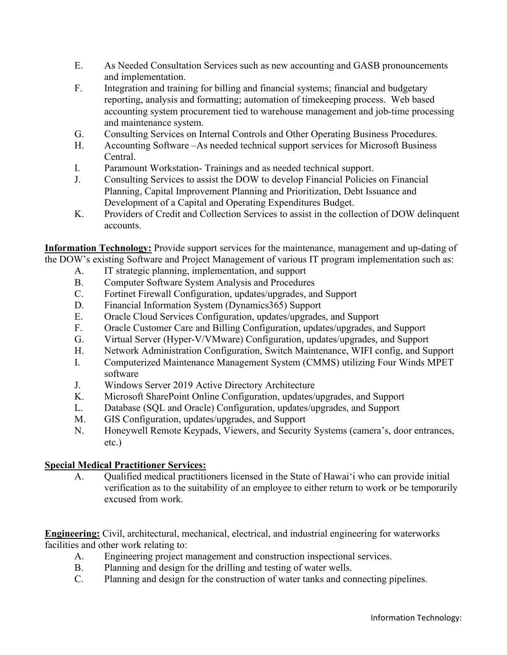- E. As Needed Consultation Services such as new accounting and GASB pronouncements and implementation.
- F. Integration and training for billing and financial systems; financial and budgetary reporting, analysis and formatting; automation of timekeeping process. Web based accounting system procurement tied to warehouse management and job-time processing and maintenance system.
- G. Consulting Services on Internal Controls and Other Operating Business Procedures.
- H. Accounting Software –As needed technical support services for Microsoft Business Central.
- I. Paramount Workstation- Trainings and as needed technical support.
- J. Consulting Services to assist the DOW to develop Financial Policies on Financial Planning, Capital Improvement Planning and Prioritization, Debt Issuance and Development of a Capital and Operating Expenditures Budget.
- K. Providers of Credit and Collection Services to assist in the collection of DOW delinquent accounts.

**Information Technology:** Provide support services for the maintenance, management and up-dating of the DOW's existing Software and Project Management of various IT program implementation such as:

- A. IT strategic planning, implementation, and support
- B. Computer Software System Analysis and Procedures
- C. Fortinet Firewall Configuration, updates/upgrades, and Support
- D. Financial Information System (Dynamics 365) Support
- E. Oracle Cloud Services Configuration, updates/upgrades, and Support
- F. Oracle Customer Care and Billing Configuration, updates/upgrades, and Support
- G. Virtual Server (Hyper-V/VMware) Configuration, updates/upgrades, and Support
- H. Network Administration Configuration, Switch Maintenance, WIFI config, and Support
- I. Computerized Maintenance Management System (CMMS) utilizing Four Winds MPET software
- J. Windows Server 2019 Active Directory Architecture
- K. Microsoft SharePoint Online Configuration, updates/upgrades, and Support
- L. Database (SQL and Oracle) Configuration, updates/upgrades, and Support
- M. GIS Configuration, updates/upgrades, and Support
- N. Honeywell Remote Keypads, Viewers, and Security Systems (camera's, door entrances, etc.)

### **Special Medical Practitioner Services:**

A. Qualified medical practitioners licensed in the State of Hawaiʻi who can provide initial verification as to the suitability of an employee to either return to work or be temporarily excused from work.

**Engineering:** Civil, architectural, mechanical, electrical, and industrial engineering for waterworks facilities and other work relating to:

- A. Engineering project management and construction inspectional services.
- B. Planning and design for the drilling and testing of water wells.
- C. Planning and design for the construction of water tanks and connecting pipelines.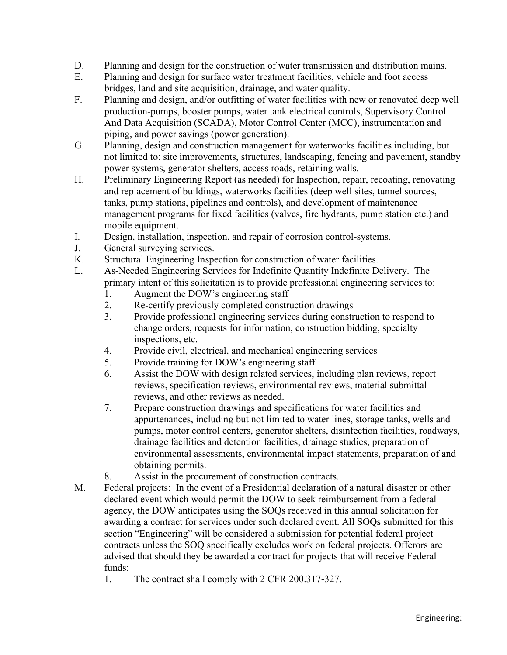- D. Planning and design for the construction of water transmission and distribution mains.
- E. Planning and design for surface water treatment facilities, vehicle and foot access bridges, land and site acquisition, drainage, and water quality.
- F. Planning and design, and/or outfitting of water facilities with new or renovated deep well production-pumps, booster pumps, water tank electrical controls, Supervisory Control And Data Acquisition (SCADA), Motor Control Center (MCC), instrumentation and piping, and power savings (power generation).
- G. Planning, design and construction management for waterworks facilities including, but not limited to: site improvements, structures, landscaping, fencing and pavement, standby power systems, generator shelters, access roads, retaining walls.
- H. Preliminary Engineering Report (as needed) for Inspection, repair, recoating, renovating and replacement of buildings, waterworks facilities (deep well sites, tunnel sources, tanks, pump stations, pipelines and controls), and development of maintenance management programs for fixed facilities (valves, fire hydrants, pump station etc.) and mobile equipment.
- I. Design, installation, inspection, and repair of corrosion control-systems.
- J. General surveying services.
- K. Structural Engineering Inspection for construction of water facilities.
- L. As-Needed Engineering Services for Indefinite Quantity Indefinite Delivery. The primary intent of this solicitation is to provide professional engineering services to:
	- 1. Augment the DOW's engineering staff
	- 2. Re-certify previously completed construction drawings
	- 3. Provide professional engineering services during construction to respond to change orders, requests for information, construction bidding, specialty inspections, etc.
	- 4. Provide civil, electrical, and mechanical engineering services
	- 5. Provide training for DOW's engineering staff
	- 6. Assist the DOW with design related services, including plan reviews, report reviews, specification reviews, environmental reviews, material submittal reviews, and other reviews as needed.
	- 7. Prepare construction drawings and specifications for water facilities and appurtenances, including but not limited to water lines, storage tanks, wells and pumps, motor control centers, generator shelters, disinfection facilities, roadways, drainage facilities and detention facilities, drainage studies, preparation of environmental assessments, environmental impact statements, preparation of and obtaining permits.
	- 8. Assist in the procurement of construction contracts.
- M. Federal projects: In the event of a Presidential declaration of a natural disaster or other declared event which would permit the DOW to seek reimbursement from a federal agency, the DOW anticipates using the SOQs received in this annual solicitation for awarding a contract for services under such declared event. All SOQs submitted for this section "Engineering" will be considered a submission for potential federal project contracts unless the SOQ specifically excludes work on federal projects. Offerors are advised that should they be awarded a contract for projects that will receive Federal funds:
	- 1. The contract shall comply with 2 CFR 200.317-327.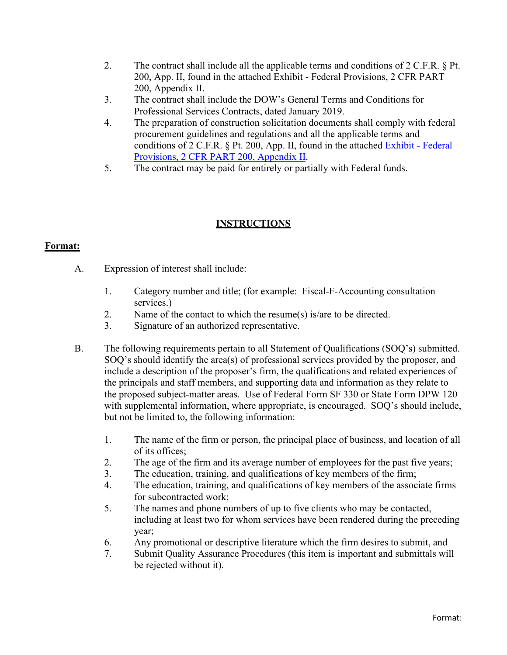- 2. The contract shall include all the applicable terms and conditions of 2 C.F.R. § Pt. 200, App. II, found in the attached Exhibit - Federal Provisions, 2 CFR PART 200, Appendix II.
- 3. The contract shall include the DOW's General Terms and Conditions for Professional Services Contracts, dated January 2019.
- 4. The preparation of construction solicitation documents shall comply with federal procurement guidelines and regulations and all the applicable terms and conditions of 2 C.F.R. § Pt. 200, App. II, found in the attached [Exhibit - Federal](#page-46-0)  [Provisions, 2 CFR PART 200, Appendix II.](#page-46-0)
- 5. The contract may be paid for entirely or partially with Federal funds.

# **INSTRUCTIONS**

## **Format:**

- A. Expression of interest shall include:
	- 1. Category number and title; (for example: Fiscal-F-Accounting consultation services.)
	- 2. Name of the contact to which the resume(s) is/are to be directed.
	- 3. Signature of an authorized representative.
- B. The following requirements pertain to all Statement of Qualifications (SOQ's) submitted. SOQ's should identify the area(s) of professional services provided by the proposer, and include a description of the proposer's firm, the qualifications and related experiences of the principals and staff members, and supporting data and information as they relate to the proposed subject-matter areas. Use of Federal Form SF 330 or State Form DPW 120 with supplemental information, where appropriate, is encouraged. SOQ's should include, but not be limited to, the following information:
	- 1. The name of the firm or person, the principal place of business, and location of all of its offices;
	- 2. The age of the firm and its average number of employees for the past five years;
	- 3. The education, training, and qualifications of key members of the firm;
	- 4. The education, training, and qualifications of key members of the associate firms for subcontracted work;
	- 5. The names and phone numbers of up to five clients who may be contacted, including at least two for whom services have been rendered during the preceding year;
	- 6. Any promotional or descriptive literature which the firm desires to submit, and
	- 7. Submit Quality Assurance Procedures (this item is important and submittals will be rejected without it).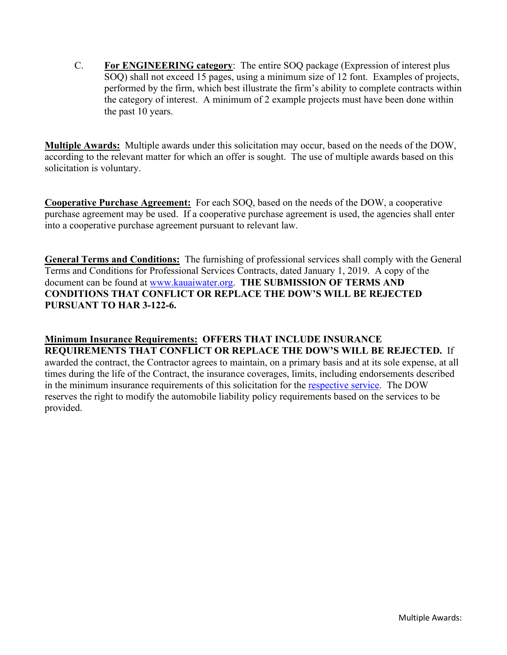C. **For ENGINEERING category**: The entire SOQ package (Expression of interest plus SOQ) shall not exceed 15 pages, using a minimum size of 12 font. Examples of projects, performed by the firm, which best illustrate the firm's ability to complete contracts within the category of interest. A minimum of 2 example projects must have been done within the past 10 years.

**Multiple Awards:** Multiple awards under this solicitation may occur, based on the needs of the DOW, according to the relevant matter for which an offer is sought. The use of multiple awards based on this solicitation is voluntary.

**Cooperative Purchase Agreement:** For each SOQ, based on the needs of the DOW, a cooperative purchase agreement may be used. If a cooperative purchase agreement is used, the agencies shall enter into a cooperative purchase agreement pursuant to relevant law.

**General Terms and Conditions:** The furnishing of professional services shall comply with the General Terms and Conditions for Professional Services Contracts, dated January 1, 2019. A copy of the document can be found at [www.kauaiwater.org.](http://www.kauaiwater.org/) **THE SUBMISSION OF TERMS AND CONDITIONS THAT CONFLICT OR REPLACE THE DOW'S WILL BE REJECTED PURSUANT TO HAR 3-122-6.**

**Minimum Insurance Requirements: OFFERS THAT INCLUDE INSURANCE REQUIREMENTS THAT CONFLICT OR REPLACE THE DOW'S WILL BE REJECTED.** If awarded the contract, the Contractor agrees to maintain, on a primary basis and at its sole expense, at all times during the life of the Contract, the insurance coverages, limits, including endorsements described in the minimum insurance requirements of this solicitation for the [respective service.](#page-5-0) The DOW reserves the right to modify the automobile liability policy requirements based on the services to be provided.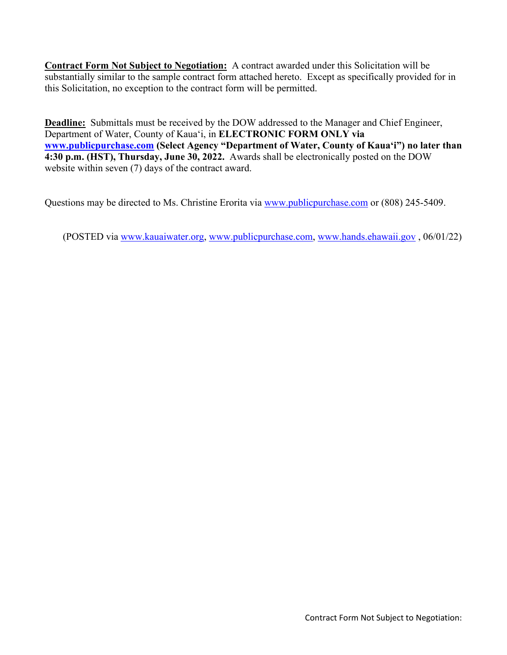**Contract Form Not Subject to Negotiation:** A contract awarded under this Solicitation will be substantially similar to the sample contract form attached hereto. Except as specifically provided for in this Solicitation, no exception to the contract form will be permitted.

**Deadline:** Submittals must be received by the DOW addressed to the Manager and Chief Engineer, Department of Water, County of Kauaʻi, in **ELECTRONIC FORM ONLY via [www.publicpurchase.com](http://www.publicpurchase.com/) (Select Agency "Department of Water, County of Kauaʻi") no later than 4:30 p.m. (HST), Thursday, June 30, 2022.** Awards shall be electronically posted on the DOW website within seven (7) days of the contract award.

Questions may be directed to Ms. Christine Erorita via [www.publicpurchase.com](http://www.publicpurchase.com/) or (808) 245-5409.

<span id="page-5-0"></span>(POSTED via [www.kauaiwater.org,](http://www.kauaiwater.org/) [www.publicpurchase.com,](http://www.publicpurchase.com/) [www.hands.ehawaii.gov](http://www.hands.ehawaii.gov/) , 06/01/22)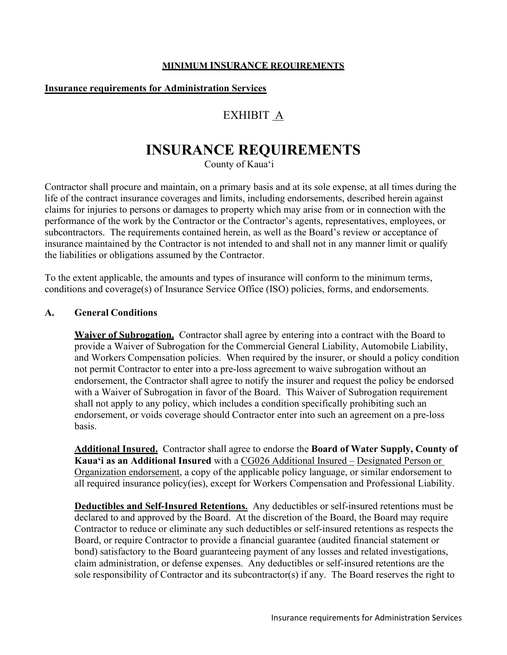### **MINIMUM INSURANCE REQUIREMENTS**

### **Insurance requirements for Administration Services**

# EXHIBIT A

# **INSURANCE REQUIREMENTS**

County of Kaua'i

Contractor shall procure and maintain, on a primary basis and at its sole expense, at all times during the life of the contract insurance coverages and limits, including endorsements, described herein against claims for injuries to persons or damages to property which may arise from or in connection with the performance of the work by the Contractor or the Contractor's agents, representatives, employees, or subcontractors. The requirements contained herein, as well as the Board's review or acceptance of insurance maintained by the Contractor is not intended to and shall not in any manner limit or qualify the liabilities or obligations assumed by the Contractor.

To the extent applicable, the amounts and types of insurance will conform to the minimum terms, conditions and coverage(s) of Insurance Service Office (ISO) policies, forms, and endorsements.

### **A. General Conditions**

**Waiver of Subrogation.** Contractor shall agree by entering into a contract with the Board to provide a Waiver of Subrogation for the Commercial General Liability, Automobile Liability, and Workers Compensation policies. When required by the insurer, or should a policy condition not permit Contractor to enter into a pre-loss agreement to waive subrogation without an endorsement, the Contractor shall agree to notify the insurer and request the policy be endorsed with a Waiver of Subrogation in favor of the Board. This Waiver of Subrogation requirement shall not apply to any policy, which includes a condition specifically prohibiting such an endorsement, or voids coverage should Contractor enter into such an agreement on a pre-loss basis.

**Additional Insured.** Contractor shall agree to endorse the **Board of Water Supply, County of Kaua'i as an Additional Insured** with a CG026 Additional Insured – Designated Person or Organization endorsement, a copy of the applicable policy language, or similar endorsement to all required insurance policy(ies), except for Workers Compensation and Professional Liability.

**Deductibles and Self-Insured Retentions.** Any deductibles or self-insured retentions must be declared to and approved by the Board. At the discretion of the Board, the Board may require Contractor to reduce or eliminate any such deductibles or self-insured retentions as respects the Board, or require Contractor to provide a financial guarantee (audited financial statement or bond) satisfactory to the Board guaranteeing payment of any losses and related investigations, claim administration, or defense expenses. Any deductibles or self-insured retentions are the sole responsibility of Contractor and its subcontractor(s) if any. The Board reserves the right to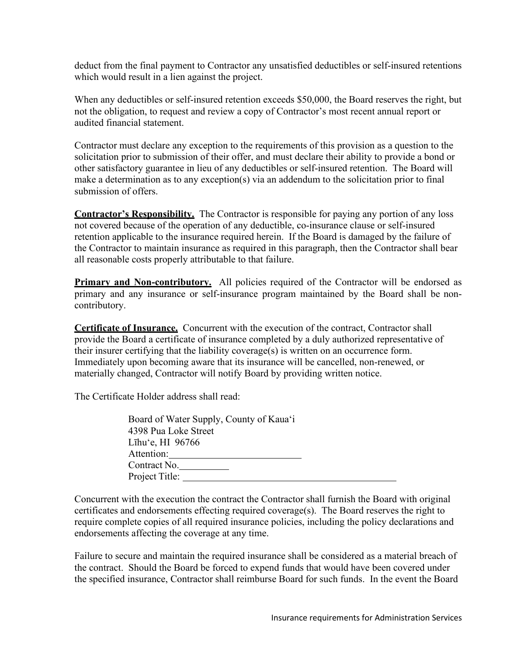deduct from the final payment to Contractor any unsatisfied deductibles or self-insured retentions which would result in a lien against the project.

When any deductibles or self-insured retention exceeds \$50,000, the Board reserves the right, but not the obligation, to request and review a copy of Contractor's most recent annual report or audited financial statement.

Contractor must declare any exception to the requirements of this provision as a question to the solicitation prior to submission of their offer, and must declare their ability to provide a bond or other satisfactory guarantee in lieu of any deductibles or self-insured retention. The Board will make a determination as to any exception(s) via an addendum to the solicitation prior to final submission of offers.

**Contractor's Responsibility.** The Contractor is responsible for paying any portion of any loss not covered because of the operation of any deductible, co-insurance clause or self-insured retention applicable to the insurance required herein. If the Board is damaged by the failure of the Contractor to maintain insurance as required in this paragraph, then the Contractor shall bear all reasonable costs properly attributable to that failure.

**Primary and Non-contributory.** All policies required of the Contractor will be endorsed as primary and any insurance or self-insurance program maintained by the Board shall be noncontributory.

**Certificate of Insurance.** Concurrent with the execution of the contract, Contractor shall provide the Board a certificate of insurance completed by a duly authorized representative of their insurer certifying that the liability coverage(s) is written on an occurrence form. Immediately upon becoming aware that its insurance will be cancelled, non-renewed, or materially changed, Contractor will notify Board by providing written notice.

The Certificate Holder address shall read:

| Board of Water Supply, County of Kaua'i |  |
|-----------------------------------------|--|
| 4398 Pua Loke Street                    |  |
| Līhu'e, HI $96766$                      |  |
| Attention:                              |  |
| Contract No.                            |  |
| Project Title:                          |  |
|                                         |  |

Concurrent with the execution the contract the Contractor shall furnish the Board with original certificates and endorsements effecting required coverage(s). The Board reserves the right to require complete copies of all required insurance policies, including the policy declarations and endorsements affecting the coverage at any time.

Failure to secure and maintain the required insurance shall be considered as a material breach of the contract. Should the Board be forced to expend funds that would have been covered under the specified insurance, Contractor shall reimburse Board for such funds. In the event the Board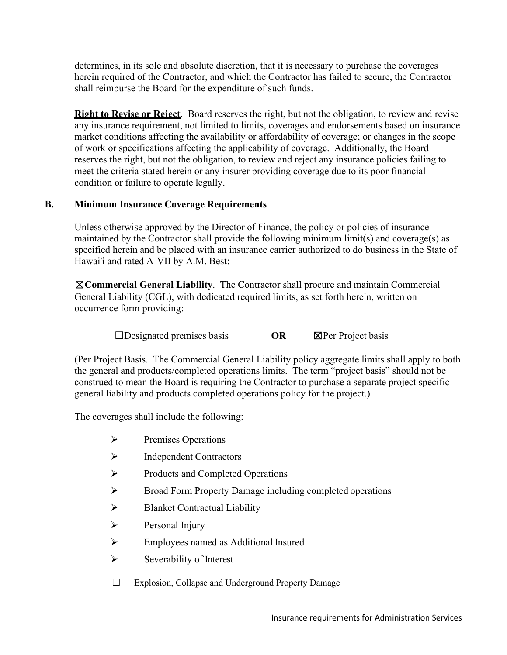determines, in its sole and absolute discretion, that it is necessary to purchase the coverages herein required of the Contractor, and which the Contractor has failed to secure, the Contractor shall reimburse the Board for the expenditure of such funds.

**Right to Revise or Reject**. Board reserves the right, but not the obligation, to review and revise any insurance requirement, not limited to limits, coverages and endorsements based on insurance market conditions affecting the availability or affordability of coverage; or changes in the scope of work or specifications affecting the applicability of coverage. Additionally, the Board reserves the right, but not the obligation, to review and reject any insurance policies failing to meet the criteria stated herein or any insurer providing coverage due to its poor financial condition or failure to operate legally.

## **B. Minimum Insurance Coverage Requirements**

Unless otherwise approved by the Director of Finance, the policy or policies of insurance maintained by the Contractor shall provide the following minimum limit(s) and coverage(s) as specified herein and be placed with an insurance carrier authorized to do business in the State of Hawai'i and rated A-VII by A.M. Best:

☒**Commercial General Liability**. The Contractor shall procure and maintain Commercial General Liability (CGL), with dedicated required limits, as set forth herein, written on occurrence form providing:

☐Designated premises basis **OR** ☒Per Project basis

(Per Project Basis. The Commercial General Liability policy aggregate limits shall apply to both the general and products/completed operations limits. The term "project basis" should not be construed to mean the Board is requiring the Contractor to purchase a separate project specific general liability and products completed operations policy for the project.)

The coverages shall include the following:

- $\triangleright$  Premises Operations
- $\triangleright$  Independent Contractors
- Products and Completed Operations
- **EXECUTE:** Broad Form Property Damage including completed operations
- $\triangleright$  Blanket Contractual Liability
- $\triangleright$  Personal Injury
- Employees named as Additional Insured
- $\triangleright$  Severability of Interest
- ☐ Explosion, Collapse and Underground Property Damage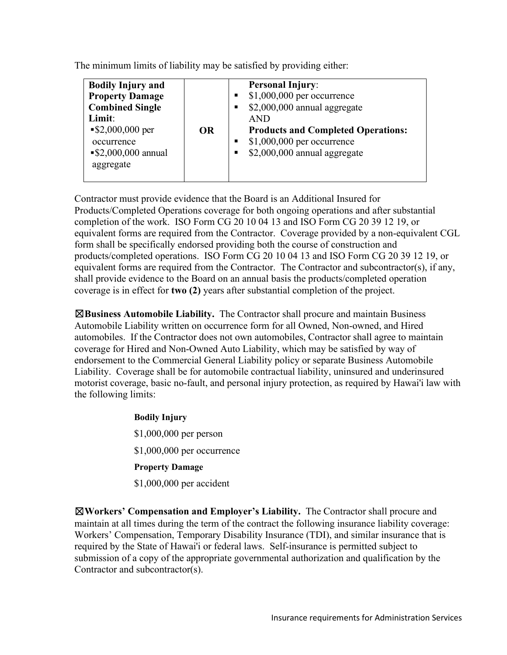The minimum limits of liability may be satisfied by providing either:

| <b>Bodily Injury and</b><br><b>Property Damage</b><br>п<br><b>Combined Single</b><br>п<br>Limit:<br><b>AND</b><br>$\$2,000,000$ per<br><b>OR</b><br>п<br>occurrence<br>$\$2,000,000$ annual<br>٠<br>aggregate | <b>Personal Injury:</b><br>$$1,000,000$ per occurrence<br>\$2,000,000 annual aggregate<br><b>Products and Completed Operations:</b><br>$$1,000,000$ per occurrence<br>\$2,000,000 annual aggregate |
|---------------------------------------------------------------------------------------------------------------------------------------------------------------------------------------------------------------|----------------------------------------------------------------------------------------------------------------------------------------------------------------------------------------------------|
|---------------------------------------------------------------------------------------------------------------------------------------------------------------------------------------------------------------|----------------------------------------------------------------------------------------------------------------------------------------------------------------------------------------------------|

Contractor must provide evidence that the Board is an Additional Insured for Products/Completed Operations coverage for both ongoing operations and after substantial completion of the work. ISO Form CG 20 10 04 13 and ISO Form CG 20 39 12 19, or equivalent forms are required from the Contractor. Coverage provided by a non-equivalent CGL form shall be specifically endorsed providing both the course of construction and products/completed operations. ISO Form CG 20 10 04 13 and ISO Form CG 20 39 12 19, or equivalent forms are required from the Contractor. The Contractor and subcontractor(s), if any, shall provide evidence to the Board on an annual basis the products/completed operation coverage is in effect for **two (2)** years after substantial completion of the project.

☒**Business Automobile Liability.** The Contractor shall procure and maintain Business Automobile Liability written on occurrence form for all Owned, Non-owned, and Hired automobiles. If the Contractor does not own automobiles, Contractor shall agree to maintain coverage for Hired and Non-Owned Auto Liability, which may be satisfied by way of endorsement to the Commercial General Liability policy or separate Business Automobile Liability. Coverage shall be for automobile contractual liability, uninsured and underinsured motorist coverage, basic no-fault, and personal injury protection, as required by Hawai'i law with the following limits:

> **Bodily Injury** \$1,000,000 per person \$1,000,000 per occurrence **Property Damage** \$1,000,000 per accident

☒**Workers' Compensation and Employer's Liability.** The Contractor shall procure and maintain at all times during the term of the contract the following insurance liability coverage: Workers' Compensation, Temporary Disability Insurance (TDI), and similar insurance that is required by the State of Hawai'i or federal laws. Self-insurance is permitted subject to submission of a copy of the appropriate governmental authorization and qualification by the Contractor and subcontractor(s).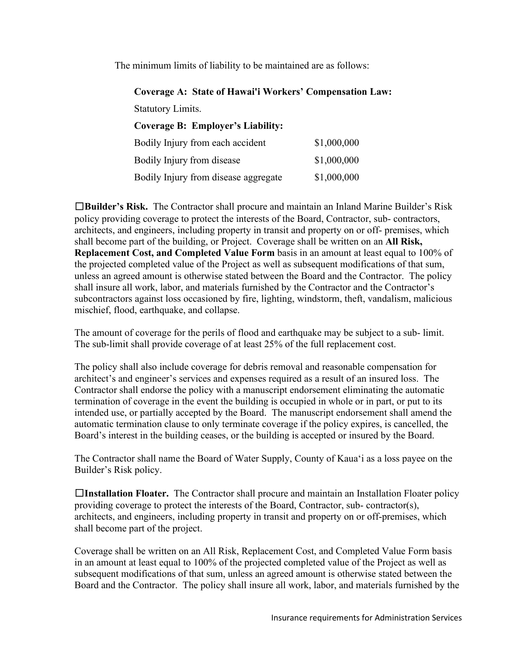The minimum limits of liability to be maintained are as follows:

### **Coverage A: State of Hawai'i Workers' Compensation Law:**

Statutory Limits.

## **Coverage B: Employer's Liability:**

| Bodily Injury from each accident     | \$1,000,000 |
|--------------------------------------|-------------|
| Bodily Injury from disease           | \$1,000,000 |
| Bodily Injury from disease aggregate | \$1,000,000 |

☐**Builder's Risk.** The Contractor shall procure and maintain an Inland Marine Builder's Risk policy providing coverage to protect the interests of the Board, Contractor, sub- contractors, architects, and engineers, including property in transit and property on or off- premises, which shall become part of the building, or Project. Coverage shall be written on an **All Risk, Replacement Cost, and Completed Value Form** basis in an amount at least equal to 100% of the projected completed value of the Project as well as subsequent modifications of that sum, unless an agreed amount is otherwise stated between the Board and the Contractor. The policy shall insure all work, labor, and materials furnished by the Contractor and the Contractor's subcontractors against loss occasioned by fire, lighting, windstorm, theft, vandalism, malicious mischief, flood, earthquake, and collapse.

The amount of coverage for the perils of flood and earthquake may be subject to a sub- limit. The sub-limit shall provide coverage of at least 25% of the full replacement cost.

The policy shall also include coverage for debris removal and reasonable compensation for architect's and engineer's services and expenses required as a result of an insured loss. The Contractor shall endorse the policy with a manuscript endorsement eliminating the automatic termination of coverage in the event the building is occupied in whole or in part, or put to its intended use, or partially accepted by the Board. The manuscript endorsement shall amend the automatic termination clause to only terminate coverage if the policy expires, is cancelled, the Board's interest in the building ceases, or the building is accepted or insured by the Board.

The Contractor shall name the Board of Water Supply, County of Kaua'i as a loss payee on the Builder's Risk policy.

☐**Installation Floater.** The Contractor shall procure and maintain an Installation Floater policy providing coverage to protect the interests of the Board, Contractor, sub- contractor(s), architects, and engineers, including property in transit and property on or off-premises, which shall become part of the project.

Coverage shall be written on an All Risk, Replacement Cost, and Completed Value Form basis in an amount at least equal to 100% of the projected completed value of the Project as well as subsequent modifications of that sum, unless an agreed amount is otherwise stated between the Board and the Contractor. The policy shall insure all work, labor, and materials furnished by the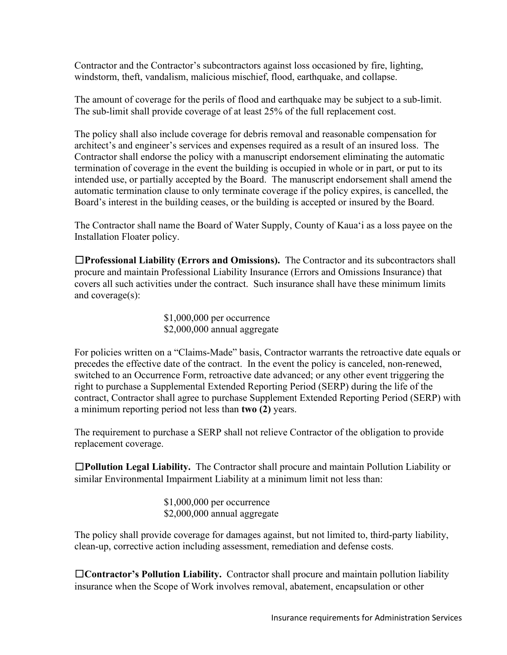Contractor and the Contractor's subcontractors against loss occasioned by fire, lighting, windstorm, theft, vandalism, malicious mischief, flood, earthquake, and collapse.

The amount of coverage for the perils of flood and earthquake may be subject to a sub-limit. The sub-limit shall provide coverage of at least 25% of the full replacement cost.

The policy shall also include coverage for debris removal and reasonable compensation for architect's and engineer's services and expenses required as a result of an insured loss. The Contractor shall endorse the policy with a manuscript endorsement eliminating the automatic termination of coverage in the event the building is occupied in whole or in part, or put to its intended use, or partially accepted by the Board. The manuscript endorsement shall amend the automatic termination clause to only terminate coverage if the policy expires, is cancelled, the Board's interest in the building ceases, or the building is accepted or insured by the Board.

The Contractor shall name the Board of Water Supply, County of Kaua'i as a loss payee on the Installation Floater policy.

☐**Professional Liability (Errors and Omissions).** The Contractor and its subcontractors shall procure and maintain Professional Liability Insurance (Errors and Omissions Insurance) that covers all such activities under the contract. Such insurance shall have these minimum limits and coverage(s):

> \$1,000,000 per occurrence \$2,000,000 annual aggregate

For policies written on a "Claims-Made" basis, Contractor warrants the retroactive date equals or precedes the effective date of the contract. In the event the policy is canceled, non-renewed, switched to an Occurrence Form, retroactive date advanced; or any other event triggering the right to purchase a Supplemental Extended Reporting Period (SERP) during the life of the contract, Contractor shall agree to purchase Supplement Extended Reporting Period (SERP) with a minimum reporting period not less than **two (2)** years.

The requirement to purchase a SERP shall not relieve Contractor of the obligation to provide replacement coverage.

☐**Pollution Legal Liability.** The Contractor shall procure and maintain Pollution Liability or similar Environmental Impairment Liability at a minimum limit not less than:

> \$1,000,000 per occurrence \$2,000,000 annual aggregate

The policy shall provide coverage for damages against, but not limited to, third-party liability, clean-up, corrective action including assessment, remediation and defense costs.

☐**Contractor's Pollution Liability.** Contractor shall procure and maintain pollution liability insurance when the Scope of Work involves removal, abatement, encapsulation or other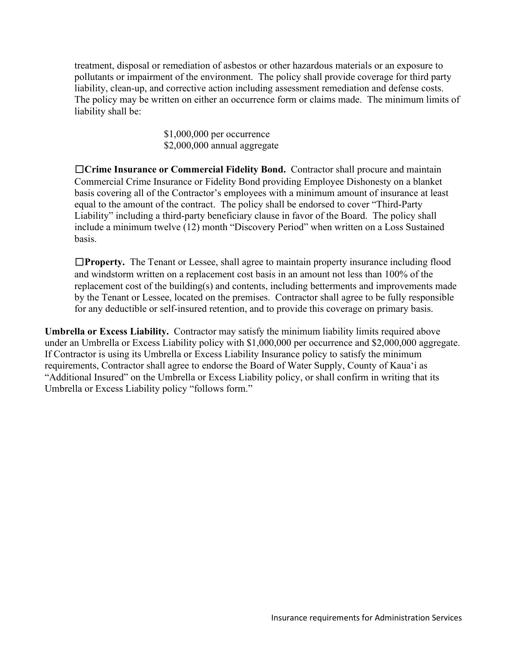treatment, disposal or remediation of asbestos or other hazardous materials or an exposure to pollutants or impairment of the environment. The policy shall provide coverage for third party liability, clean-up, and corrective action including assessment remediation and defense costs. The policy may be written on either an occurrence form or claims made. The minimum limits of liability shall be:

> \$1,000,000 per occurrence \$2,000,000 annual aggregate

☐**Crime Insurance or Commercial Fidelity Bond.** Contractor shall procure and maintain Commercial Crime Insurance or Fidelity Bond providing Employee Dishonesty on a blanket basis covering all of the Contractor's employees with a minimum amount of insurance at least equal to the amount of the contract. The policy shall be endorsed to cover "Third-Party Liability" including a third-party beneficiary clause in favor of the Board. The policy shall include a minimum twelve (12) month "Discovery Period" when written on a Loss Sustained basis.

☐**Property.** The Tenant or Lessee, shall agree to maintain property insurance including flood and windstorm written on a replacement cost basis in an amount not less than 100% of the replacement cost of the building(s) and contents, including betterments and improvements made by the Tenant or Lessee, located on the premises. Contractor shall agree to be fully responsible for any deductible or self-insured retention, and to provide this coverage on primary basis.

**Umbrella or Excess Liability.** Contractor may satisfy the minimum liability limits required above under an Umbrella or Excess Liability policy with \$1,000,000 per occurrence and \$2,000,000 aggregate. If Contractor is using its Umbrella or Excess Liability Insurance policy to satisfy the minimum requirements, Contractor shall agree to endorse the Board of Water Supply, County of Kaua'i as "Additional Insured" on the Umbrella or Excess Liability policy, or shall confirm in writing that its Umbrella or Excess Liability policy "follows form."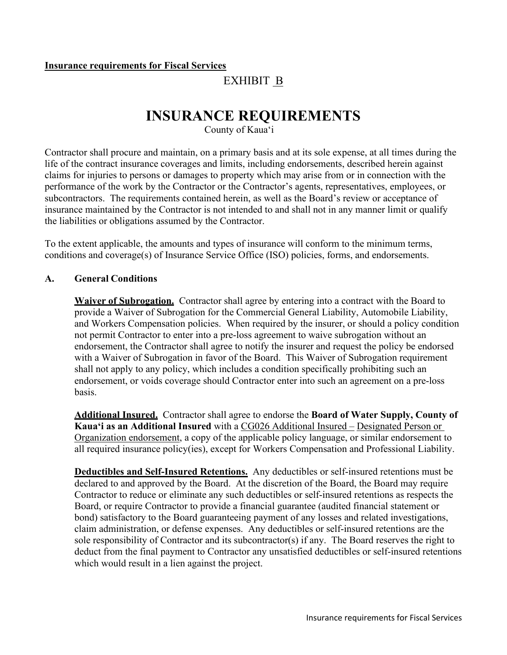### **Insurance requirements for Fiscal Services**

# EXHIBIT B

# **INSURANCE REQUIREMENTS**

County of Kaua'i

Contractor shall procure and maintain, on a primary basis and at its sole expense, at all times during the life of the contract insurance coverages and limits, including endorsements, described herein against claims for injuries to persons or damages to property which may arise from or in connection with the performance of the work by the Contractor or the Contractor's agents, representatives, employees, or subcontractors. The requirements contained herein, as well as the Board's review or acceptance of insurance maintained by the Contractor is not intended to and shall not in any manner limit or qualify the liabilities or obligations assumed by the Contractor.

To the extent applicable, the amounts and types of insurance will conform to the minimum terms, conditions and coverage(s) of Insurance Service Office (ISO) policies, forms, and endorsements.

### **A. General Conditions**

**Waiver of Subrogation.** Contractor shall agree by entering into a contract with the Board to provide a Waiver of Subrogation for the Commercial General Liability, Automobile Liability, and Workers Compensation policies. When required by the insurer, or should a policy condition not permit Contractor to enter into a pre-loss agreement to waive subrogation without an endorsement, the Contractor shall agree to notify the insurer and request the policy be endorsed with a Waiver of Subrogation in favor of the Board. This Waiver of Subrogation requirement shall not apply to any policy, which includes a condition specifically prohibiting such an endorsement, or voids coverage should Contractor enter into such an agreement on a pre-loss basis.

**Additional Insured.** Contractor shall agree to endorse the **Board of Water Supply, County of Kaua'i as an Additional Insured** with a CG026 Additional Insured – Designated Person or Organization endorsement, a copy of the applicable policy language, or similar endorsement to all required insurance policy(ies), except for Workers Compensation and Professional Liability.

**Deductibles and Self-Insured Retentions.** Any deductibles or self-insured retentions must be declared to and approved by the Board. At the discretion of the Board, the Board may require Contractor to reduce or eliminate any such deductibles or self-insured retentions as respects the Board, or require Contractor to provide a financial guarantee (audited financial statement or bond) satisfactory to the Board guaranteeing payment of any losses and related investigations, claim administration, or defense expenses. Any deductibles or self-insured retentions are the sole responsibility of Contractor and its subcontractor(s) if any. The Board reserves the right to deduct from the final payment to Contractor any unsatisfied deductibles or self-insured retentions which would result in a lien against the project.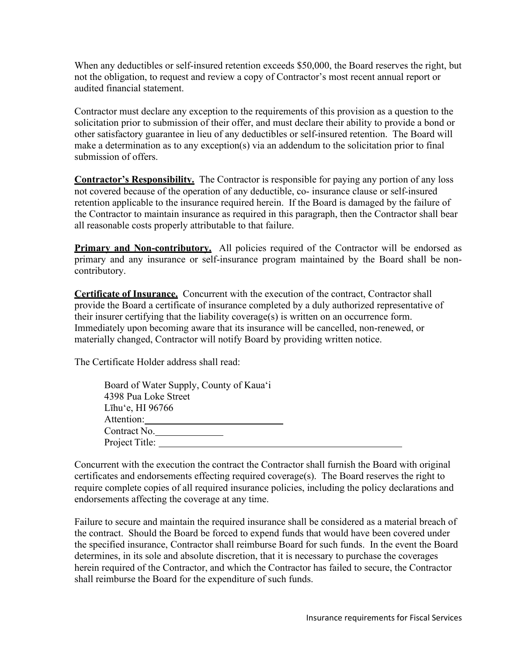When any deductibles or self-insured retention exceeds \$50,000, the Board reserves the right, but not the obligation, to request and review a copy of Contractor's most recent annual report or audited financial statement.

Contractor must declare any exception to the requirements of this provision as a question to the solicitation prior to submission of their offer, and must declare their ability to provide a bond or other satisfactory guarantee in lieu of any deductibles or self-insured retention. The Board will make a determination as to any exception(s) via an addendum to the solicitation prior to final submission of offers.

**Contractor's Responsibility.** The Contractor is responsible for paying any portion of any loss not covered because of the operation of any deductible, co- insurance clause or self-insured retention applicable to the insurance required herein. If the Board is damaged by the failure of the Contractor to maintain insurance as required in this paragraph, then the Contractor shall bear all reasonable costs properly attributable to that failure.

**Primary and Non-contributory.** All policies required of the Contractor will be endorsed as primary and any insurance or self-insurance program maintained by the Board shall be noncontributory.

**Certificate of Insurance.** Concurrent with the execution of the contract, Contractor shall provide the Board a certificate of insurance completed by a duly authorized representative of their insurer certifying that the liability coverage(s) is written on an occurrence form. Immediately upon becoming aware that its insurance will be cancelled, non-renewed, or materially changed, Contractor will notify Board by providing written notice.

The Certificate Holder address shall read:

| Board of Water Supply, County of Kaua'i |
|-----------------------------------------|
| 4398 Pua Loke Street                    |
| Līhu'e, HI 96766                        |
| Attention:                              |
| Contract No.                            |
| Project Title:                          |
|                                         |

Concurrent with the execution the contract the Contractor shall furnish the Board with original certificates and endorsements effecting required coverage(s). The Board reserves the right to require complete copies of all required insurance policies, including the policy declarations and endorsements affecting the coverage at any time.

Failure to secure and maintain the required insurance shall be considered as a material breach of the contract. Should the Board be forced to expend funds that would have been covered under the specified insurance, Contractor shall reimburse Board for such funds. In the event the Board determines, in its sole and absolute discretion, that it is necessary to purchase the coverages herein required of the Contractor, and which the Contractor has failed to secure, the Contractor shall reimburse the Board for the expenditure of such funds.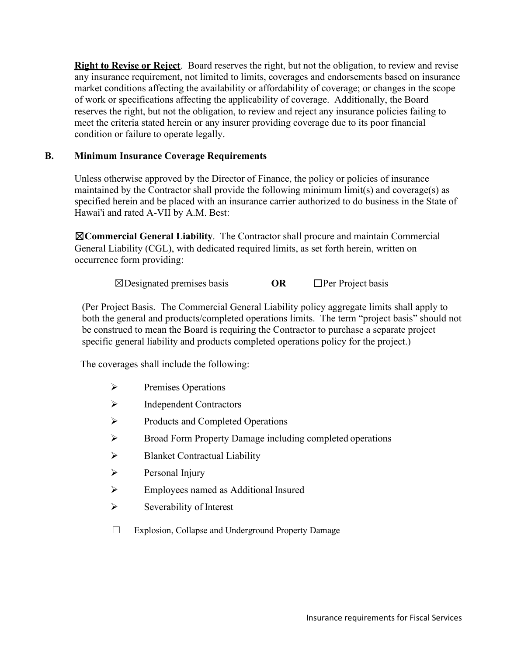**Right to Revise or Reject**. Board reserves the right, but not the obligation, to review and revise any insurance requirement, not limited to limits, coverages and endorsements based on insurance market conditions affecting the availability or affordability of coverage; or changes in the scope of work or specifications affecting the applicability of coverage. Additionally, the Board reserves the right, but not the obligation, to review and reject any insurance policies failing to meet the criteria stated herein or any insurer providing coverage due to its poor financial condition or failure to operate legally.

## **B. Minimum Insurance Coverage Requirements**

Unless otherwise approved by the Director of Finance, the policy or policies of insurance maintained by the Contractor shall provide the following minimum limit(s) and coverage(s) as specified herein and be placed with an insurance carrier authorized to do business in the State of Hawai'i and rated A-VII by A.M. Best:

☒**Commercial General Liability**. The Contractor shall procure and maintain Commercial General Liability (CGL), with dedicated required limits, as set forth herein, written on occurrence form providing:

☒Designated premises basis **OR** ☐Per Project basis

(Per Project Basis. The Commercial General Liability policy aggregate limits shall apply to both the general and products/completed operations limits. The term "project basis" should not be construed to mean the Board is requiring the Contractor to purchase a separate project specific general liability and products completed operations policy for the project.)

The coverages shall include the following:

- $\triangleright$  Premises Operations
- $\triangleright$  Independent Contractors
- $\triangleright$  Products and Completed Operations
- Broad Form Property Damage including completed operations
- $\triangleright$  Blanket Contractual Liability
- $\triangleright$  Personal Injury
- Employees named as Additional Insured
- $\triangleright$  Severability of Interest
- ☐ Explosion, Collapse and Underground Property Damage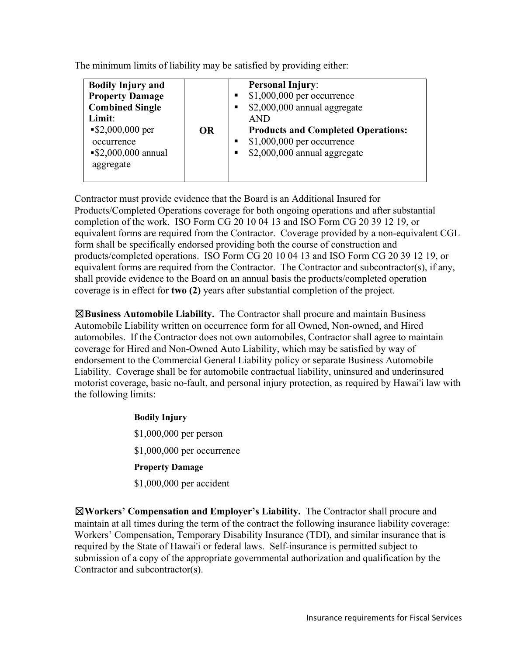The minimum limits of liability may be satisfied by providing either:

| <b>Bodily Injury and</b><br><b>Property Damage</b><br>п<br><b>Combined Single</b><br>п<br>Limit:<br><b>AND</b><br>$\$2,000,000$ per<br><b>OR</b><br>п<br>occurrence<br>$\$2,000,000$ annual<br>٠<br>aggregate | <b>Personal Injury:</b><br>$$1,000,000$ per occurrence<br>\$2,000,000 annual aggregate<br><b>Products and Completed Operations:</b><br>$$1,000,000$ per occurrence<br>\$2,000,000 annual aggregate |
|---------------------------------------------------------------------------------------------------------------------------------------------------------------------------------------------------------------|----------------------------------------------------------------------------------------------------------------------------------------------------------------------------------------------------|
|---------------------------------------------------------------------------------------------------------------------------------------------------------------------------------------------------------------|----------------------------------------------------------------------------------------------------------------------------------------------------------------------------------------------------|

Contractor must provide evidence that the Board is an Additional Insured for Products/Completed Operations coverage for both ongoing operations and after substantial completion of the work. ISO Form CG 20 10 04 13 and ISO Form CG 20 39 12 19, or equivalent forms are required from the Contractor. Coverage provided by a non-equivalent CGL form shall be specifically endorsed providing both the course of construction and products/completed operations. ISO Form CG 20 10 04 13 and ISO Form CG 20 39 12 19, or equivalent forms are required from the Contractor. The Contractor and subcontractor(s), if any, shall provide evidence to the Board on an annual basis the products/completed operation coverage is in effect for **two (2)** years after substantial completion of the project.

☒**Business Automobile Liability.** The Contractor shall procure and maintain Business Automobile Liability written on occurrence form for all Owned, Non-owned, and Hired automobiles. If the Contractor does not own automobiles, Contractor shall agree to maintain coverage for Hired and Non-Owned Auto Liability, which may be satisfied by way of endorsement to the Commercial General Liability policy or separate Business Automobile Liability. Coverage shall be for automobile contractual liability, uninsured and underinsured motorist coverage, basic no-fault, and personal injury protection, as required by Hawai'i law with the following limits:

> **Bodily Injury** \$1,000,000 per person \$1,000,000 per occurrence **Property Damage** \$1,000,000 per accident

☒**Workers' Compensation and Employer's Liability.** The Contractor shall procure and maintain at all times during the term of the contract the following insurance liability coverage: Workers' Compensation, Temporary Disability Insurance (TDI), and similar insurance that is required by the State of Hawai'i or federal laws. Self-insurance is permitted subject to submission of a copy of the appropriate governmental authorization and qualification by the Contractor and subcontractor(s).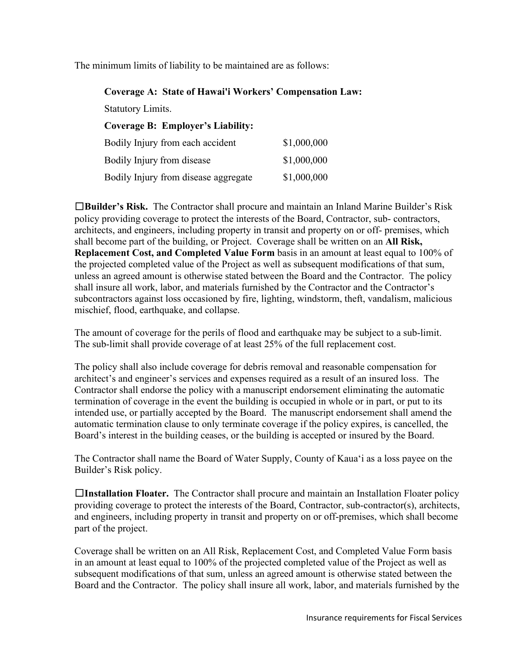The minimum limits of liability to be maintained are as follows:

| <b>Coverage A: State of Hawai'i Workers' Compensation Law:</b> |             |
|----------------------------------------------------------------|-------------|
| <b>Statutory Limits.</b>                                       |             |
| <b>Coverage B: Employer's Liability:</b>                       |             |
| Bodily Injury from each accident                               | \$1,000,000 |
| Bodily Injury from disease                                     | \$1,000,000 |
| Bodily Injury from disease aggregate                           | \$1,000,000 |

☐**Builder's Risk.** The Contractor shall procure and maintain an Inland Marine Builder's Risk policy providing coverage to protect the interests of the Board, Contractor, sub- contractors, architects, and engineers, including property in transit and property on or off- premises, which shall become part of the building, or Project. Coverage shall be written on an **All Risk, Replacement Cost, and Completed Value Form** basis in an amount at least equal to 100% of the projected completed value of the Project as well as subsequent modifications of that sum, unless an agreed amount is otherwise stated between the Board and the Contractor. The policy shall insure all work, labor, and materials furnished by the Contractor and the Contractor's subcontractors against loss occasioned by fire, lighting, windstorm, theft, vandalism, malicious mischief, flood, earthquake, and collapse.

The amount of coverage for the perils of flood and earthquake may be subject to a sub-limit. The sub-limit shall provide coverage of at least 25% of the full replacement cost.

The policy shall also include coverage for debris removal and reasonable compensation for architect's and engineer's services and expenses required as a result of an insured loss. The Contractor shall endorse the policy with a manuscript endorsement eliminating the automatic termination of coverage in the event the building is occupied in whole or in part, or put to its intended use, or partially accepted by the Board. The manuscript endorsement shall amend the automatic termination clause to only terminate coverage if the policy expires, is cancelled, the Board's interest in the building ceases, or the building is accepted or insured by the Board.

The Contractor shall name the Board of Water Supply, County of Kaua'i as a loss payee on the Builder's Risk policy.

☐**Installation Floater.** The Contractor shall procure and maintain an Installation Floater policy providing coverage to protect the interests of the Board, Contractor, sub-contractor(s), architects, and engineers, including property in transit and property on or off-premises, which shall become part of the project.

Coverage shall be written on an All Risk, Replacement Cost, and Completed Value Form basis in an amount at least equal to 100% of the projected completed value of the Project as well as subsequent modifications of that sum, unless an agreed amount is otherwise stated between the Board and the Contractor. The policy shall insure all work, labor, and materials furnished by the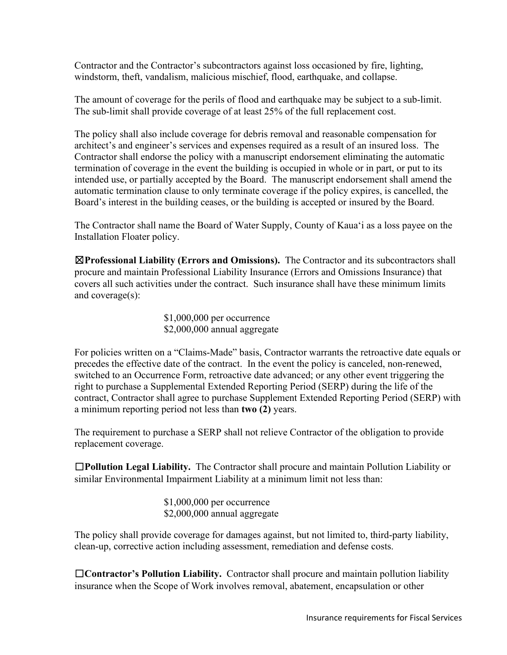Contractor and the Contractor's subcontractors against loss occasioned by fire, lighting, windstorm, theft, vandalism, malicious mischief, flood, earthquake, and collapse.

The amount of coverage for the perils of flood and earthquake may be subject to a sub-limit. The sub-limit shall provide coverage of at least 25% of the full replacement cost.

The policy shall also include coverage for debris removal and reasonable compensation for architect's and engineer's services and expenses required as a result of an insured loss. The Contractor shall endorse the policy with a manuscript endorsement eliminating the automatic termination of coverage in the event the building is occupied in whole or in part, or put to its intended use, or partially accepted by the Board. The manuscript endorsement shall amend the automatic termination clause to only terminate coverage if the policy expires, is cancelled, the Board's interest in the building ceases, or the building is accepted or insured by the Board.

The Contractor shall name the Board of Water Supply, County of Kaua'i as a loss payee on the Installation Floater policy.

☒**Professional Liability (Errors and Omissions).** The Contractor and its subcontractors shall procure and maintain Professional Liability Insurance (Errors and Omissions Insurance) that covers all such activities under the contract. Such insurance shall have these minimum limits and coverage(s):

> \$1,000,000 per occurrence \$2,000,000 annual aggregate

For policies written on a "Claims-Made" basis, Contractor warrants the retroactive date equals or precedes the effective date of the contract. In the event the policy is canceled, non-renewed, switched to an Occurrence Form, retroactive date advanced; or any other event triggering the right to purchase a Supplemental Extended Reporting Period (SERP) during the life of the contract, Contractor shall agree to purchase Supplement Extended Reporting Period (SERP) with a minimum reporting period not less than **two (2)** years.

The requirement to purchase a SERP shall not relieve Contractor of the obligation to provide replacement coverage.

☐**Pollution Legal Liability.** The Contractor shall procure and maintain Pollution Liability or similar Environmental Impairment Liability at a minimum limit not less than:

> \$1,000,000 per occurrence \$2,000,000 annual aggregate

The policy shall provide coverage for damages against, but not limited to, third-party liability, clean-up, corrective action including assessment, remediation and defense costs.

☐**Contractor's Pollution Liability.** Contractor shall procure and maintain pollution liability insurance when the Scope of Work involves removal, abatement, encapsulation or other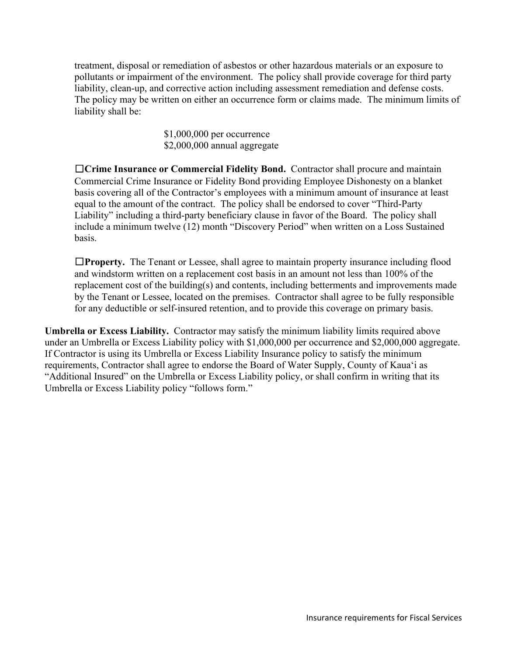treatment, disposal or remediation of asbestos or other hazardous materials or an exposure to pollutants or impairment of the environment. The policy shall provide coverage for third party liability, clean-up, and corrective action including assessment remediation and defense costs. The policy may be written on either an occurrence form or claims made. The minimum limits of liability shall be:

> \$1,000,000 per occurrence \$2,000,000 annual aggregate

☐**Crime Insurance or Commercial Fidelity Bond.** Contractor shall procure and maintain Commercial Crime Insurance or Fidelity Bond providing Employee Dishonesty on a blanket basis covering all of the Contractor's employees with a minimum amount of insurance at least equal to the amount of the contract. The policy shall be endorsed to cover "Third-Party Liability" including a third-party beneficiary clause in favor of the Board. The policy shall include a minimum twelve (12) month "Discovery Period" when written on a Loss Sustained basis.

☐**Property.** The Tenant or Lessee, shall agree to maintain property insurance including flood and windstorm written on a replacement cost basis in an amount not less than 100% of the replacement cost of the building(s) and contents, including betterments and improvements made by the Tenant or Lessee, located on the premises. Contractor shall agree to be fully responsible for any deductible or self-insured retention, and to provide this coverage on primary basis.

**Umbrella or Excess Liability.** Contractor may satisfy the minimum liability limits required above under an Umbrella or Excess Liability policy with \$1,000,000 per occurrence and \$2,000,000 aggregate. If Contractor is using its Umbrella or Excess Liability Insurance policy to satisfy the minimum requirements, Contractor shall agree to endorse the Board of Water Supply, County of Kaua'i as "Additional Insured" on the Umbrella or Excess Liability policy, or shall confirm in writing that its Umbrella or Excess Liability policy "follows form."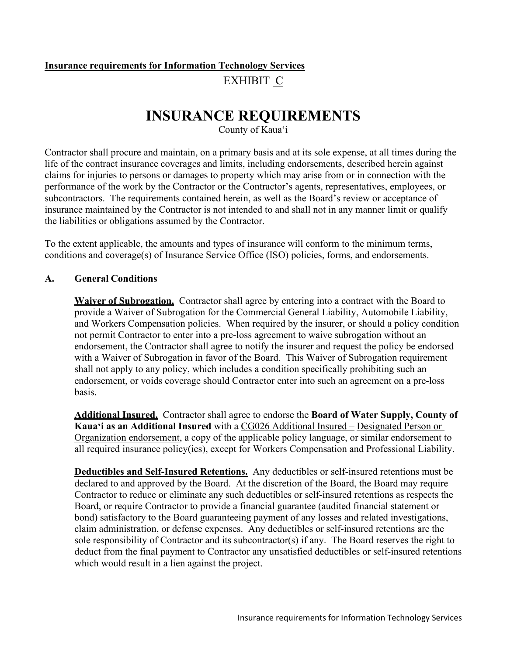# **Insurance requirements for Information Technology Services** EXHIBIT C

# **INSURANCE REQUIREMENTS**

County of Kaua'i

Contractor shall procure and maintain, on a primary basis and at its sole expense, at all times during the life of the contract insurance coverages and limits, including endorsements, described herein against claims for injuries to persons or damages to property which may arise from or in connection with the performance of the work by the Contractor or the Contractor's agents, representatives, employees, or subcontractors. The requirements contained herein, as well as the Board's review or acceptance of insurance maintained by the Contractor is not intended to and shall not in any manner limit or qualify the liabilities or obligations assumed by the Contractor.

To the extent applicable, the amounts and types of insurance will conform to the minimum terms, conditions and coverage(s) of Insurance Service Office (ISO) policies, forms, and endorsements.

## **A. General Conditions**

**Waiver of Subrogation.** Contractor shall agree by entering into a contract with the Board to provide a Waiver of Subrogation for the Commercial General Liability, Automobile Liability, and Workers Compensation policies. When required by the insurer, or should a policy condition not permit Contractor to enter into a pre-loss agreement to waive subrogation without an endorsement, the Contractor shall agree to notify the insurer and request the policy be endorsed with a Waiver of Subrogation in favor of the Board. This Waiver of Subrogation requirement shall not apply to any policy, which includes a condition specifically prohibiting such an endorsement, or voids coverage should Contractor enter into such an agreement on a pre-loss basis.

**Additional Insured.** Contractor shall agree to endorse the **Board of Water Supply, County of Kaua'i as an Additional Insured** with a CG026 Additional Insured – Designated Person or Organization endorsement, a copy of the applicable policy language, or similar endorsement to all required insurance policy(ies), except for Workers Compensation and Professional Liability.

**Deductibles and Self-Insured Retentions.** Any deductibles or self-insured retentions must be declared to and approved by the Board. At the discretion of the Board, the Board may require Contractor to reduce or eliminate any such deductibles or self-insured retentions as respects the Board, or require Contractor to provide a financial guarantee (audited financial statement or bond) satisfactory to the Board guaranteeing payment of any losses and related investigations, claim administration, or defense expenses. Any deductibles or self-insured retentions are the sole responsibility of Contractor and its subcontractor(s) if any. The Board reserves the right to deduct from the final payment to Contractor any unsatisfied deductibles or self-insured retentions which would result in a lien against the project.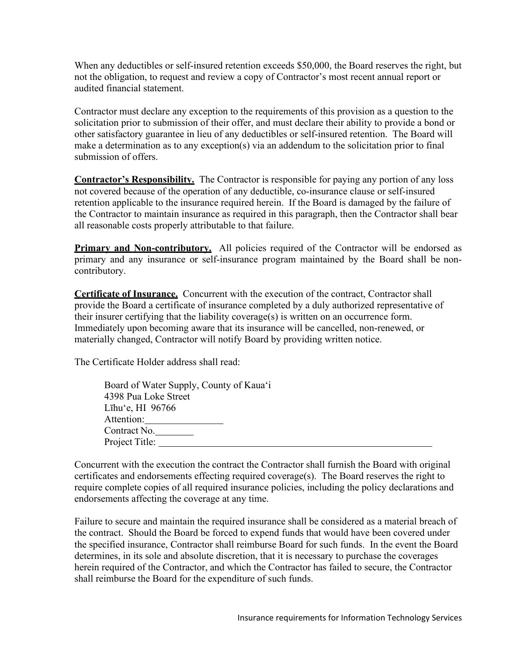When any deductibles or self-insured retention exceeds \$50,000, the Board reserves the right, but not the obligation, to request and review a copy of Contractor's most recent annual report or audited financial statement.

Contractor must declare any exception to the requirements of this provision as a question to the solicitation prior to submission of their offer, and must declare their ability to provide a bond or other satisfactory guarantee in lieu of any deductibles or self-insured retention. The Board will make a determination as to any exception(s) via an addendum to the solicitation prior to final submission of offers.

**Contractor's Responsibility.** The Contractor is responsible for paying any portion of any loss not covered because of the operation of any deductible, co-insurance clause or self-insured retention applicable to the insurance required herein. If the Board is damaged by the failure of the Contractor to maintain insurance as required in this paragraph, then the Contractor shall bear all reasonable costs properly attributable to that failure.

**Primary and Non-contributory.** All policies required of the Contractor will be endorsed as primary and any insurance or self-insurance program maintained by the Board shall be noncontributory.

**Certificate of Insurance.** Concurrent with the execution of the contract, Contractor shall provide the Board a certificate of insurance completed by a duly authorized representative of their insurer certifying that the liability coverage(s) is written on an occurrence form. Immediately upon becoming aware that its insurance will be cancelled, non-renewed, or materially changed, Contractor will notify Board by providing written notice.

The Certificate Holder address shall read:

| Board of Water Supply, County of Kaua'i |
|-----------------------------------------|
| 4398 Pua Loke Street                    |
| Līhu'e, HI $96766$                      |
| Attention:                              |
| Contract No.                            |
| Project Title:                          |
|                                         |

Concurrent with the execution the contract the Contractor shall furnish the Board with original certificates and endorsements effecting required coverage(s). The Board reserves the right to require complete copies of all required insurance policies, including the policy declarations and endorsements affecting the coverage at any time.

Failure to secure and maintain the required insurance shall be considered as a material breach of the contract. Should the Board be forced to expend funds that would have been covered under the specified insurance, Contractor shall reimburse Board for such funds. In the event the Board determines, in its sole and absolute discretion, that it is necessary to purchase the coverages herein required of the Contractor, and which the Contractor has failed to secure, the Contractor shall reimburse the Board for the expenditure of such funds.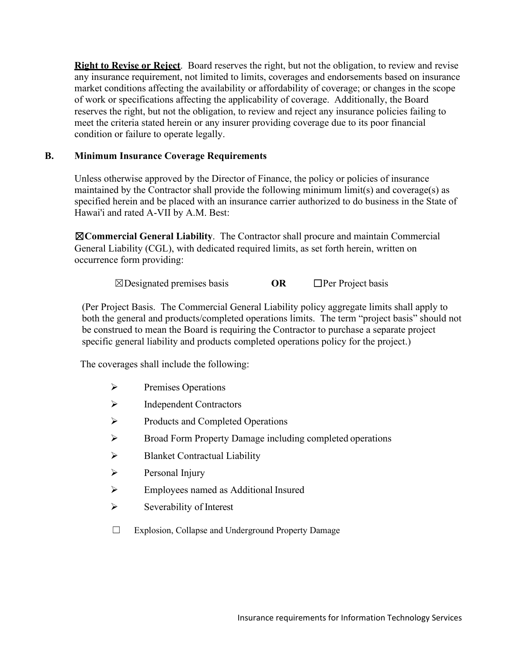**Right to Revise or Reject**. Board reserves the right, but not the obligation, to review and revise any insurance requirement, not limited to limits, coverages and endorsements based on insurance market conditions affecting the availability or affordability of coverage; or changes in the scope of work or specifications affecting the applicability of coverage. Additionally, the Board reserves the right, but not the obligation, to review and reject any insurance policies failing to meet the criteria stated herein or any insurer providing coverage due to its poor financial condition or failure to operate legally.

## **B. Minimum Insurance Coverage Requirements**

Unless otherwise approved by the Director of Finance, the policy or policies of insurance maintained by the Contractor shall provide the following minimum limit(s) and coverage(s) as specified herein and be placed with an insurance carrier authorized to do business in the State of Hawai'i and rated A-VII by A.M. Best:

☒**Commercial General Liability**. The Contractor shall procure and maintain Commercial General Liability (CGL), with dedicated required limits, as set forth herein, written on occurrence form providing:

☒Designated premises basis **OR** ☐Per Project basis

(Per Project Basis. The Commercial General Liability policy aggregate limits shall apply to both the general and products/completed operations limits. The term "project basis" should not be construed to mean the Board is requiring the Contractor to purchase a separate project specific general liability and products completed operations policy for the project.)

The coverages shall include the following:

- $\triangleright$  Premises Operations
- $\triangleright$  Independent Contractors
- $\triangleright$  Products and Completed Operations
- Broad Form Property Damage including completed operations
- $\triangleright$  Blanket Contractual Liability
- $\triangleright$  Personal Injury
- Employees named as Additional Insured
- $\triangleright$  Severability of Interest
- ☐ Explosion, Collapse and Underground Property Damage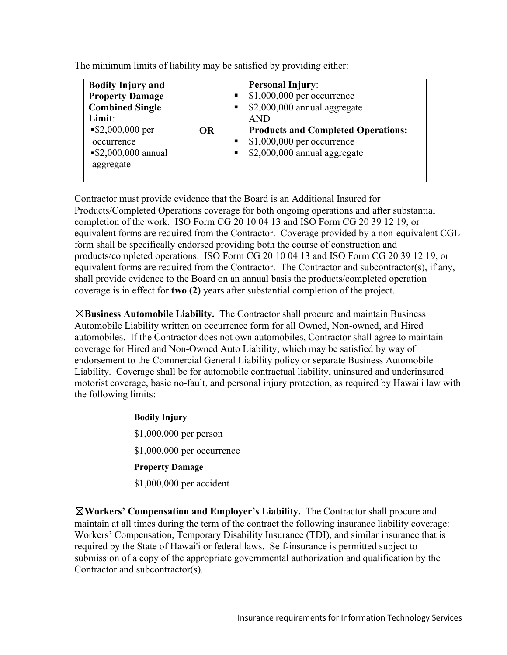The minimum limits of liability may be satisfied by providing either:

| <b>Bodily Injury and</b><br><b>Property Damage</b><br><b>Combined Single</b><br>Limit: |           | <b>Personal Injury:</b><br>\$1,000,000 per occurrence<br>\$2,000,000 annual aggregate<br>п<br><b>AND</b>           |
|----------------------------------------------------------------------------------------|-----------|--------------------------------------------------------------------------------------------------------------------|
| $\$2,000,000$ per<br>occurrence<br>$\$2,000,000$ annual<br>aggregate                   | <b>OR</b> | <b>Products and Completed Operations:</b><br>$$1,000,000$ per occurrence<br>٠<br>\$2,000,000 annual aggregate<br>٠ |

Contractor must provide evidence that the Board is an Additional Insured for Products/Completed Operations coverage for both ongoing operations and after substantial completion of the work. ISO Form CG 20 10 04 13 and ISO Form CG 20 39 12 19, or equivalent forms are required from the Contractor. Coverage provided by a non-equivalent CGL form shall be specifically endorsed providing both the course of construction and products/completed operations. ISO Form CG 20 10 04 13 and ISO Form CG 20 39 12 19, or equivalent forms are required from the Contractor. The Contractor and subcontractor(s), if any, shall provide evidence to the Board on an annual basis the products/completed operation coverage is in effect for **two (2)** years after substantial completion of the project.

☒**Business Automobile Liability.** The Contractor shall procure and maintain Business Automobile Liability written on occurrence form for all Owned, Non-owned, and Hired automobiles. If the Contractor does not own automobiles, Contractor shall agree to maintain coverage for Hired and Non-Owned Auto Liability, which may be satisfied by way of endorsement to the Commercial General Liability policy or separate Business Automobile Liability. Coverage shall be for automobile contractual liability, uninsured and underinsured motorist coverage, basic no-fault, and personal injury protection, as required by Hawai'i law with the following limits:

> **Bodily Injury** \$1,000,000 per person \$1,000,000 per occurrence **Property Damage** \$1,000,000 per accident

☒**Workers' Compensation and Employer's Liability.** The Contractor shall procure and maintain at all times during the term of the contract the following insurance liability coverage: Workers' Compensation, Temporary Disability Insurance (TDI), and similar insurance that is required by the State of Hawai'i or federal laws. Self-insurance is permitted subject to submission of a copy of the appropriate governmental authorization and qualification by the Contractor and subcontractor(s).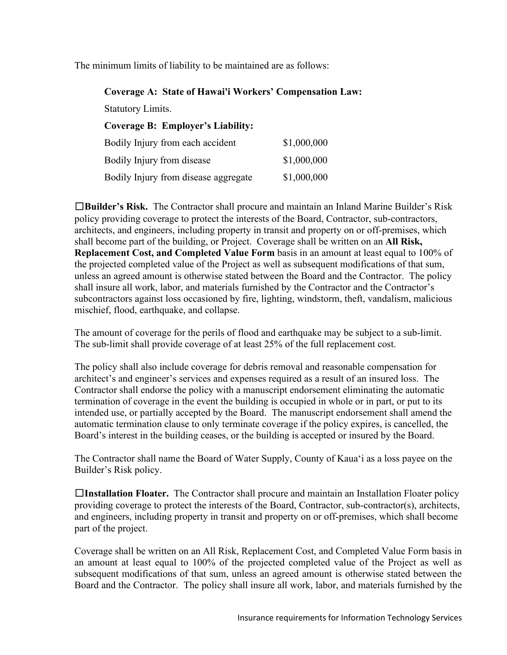The minimum limits of liability to be maintained are as follows:

| <b>Coverage A: State of Hawai'i Workers' Compensation Law:</b> |             |
|----------------------------------------------------------------|-------------|
| <b>Statutory Limits.</b>                                       |             |
| <b>Coverage B: Employer's Liability:</b>                       |             |
| Bodily Injury from each accident                               | \$1,000,000 |
| Bodily Injury from disease                                     | \$1,000,000 |
| Bodily Injury from disease aggregate                           | \$1,000,000 |

☐**Builder's Risk.** The Contractor shall procure and maintain an Inland Marine Builder's Risk policy providing coverage to protect the interests of the Board, Contractor, sub-contractors, architects, and engineers, including property in transit and property on or off-premises, which shall become part of the building, or Project. Coverage shall be written on an **All Risk, Replacement Cost, and Completed Value Form** basis in an amount at least equal to 100% of the projected completed value of the Project as well as subsequent modifications of that sum, unless an agreed amount is otherwise stated between the Board and the Contractor. The policy shall insure all work, labor, and materials furnished by the Contractor and the Contractor's subcontractors against loss occasioned by fire, lighting, windstorm, theft, vandalism, malicious mischief, flood, earthquake, and collapse.

The amount of coverage for the perils of flood and earthquake may be subject to a sub-limit. The sub-limit shall provide coverage of at least 25% of the full replacement cost.

The policy shall also include coverage for debris removal and reasonable compensation for architect's and engineer's services and expenses required as a result of an insured loss. The Contractor shall endorse the policy with a manuscript endorsement eliminating the automatic termination of coverage in the event the building is occupied in whole or in part, or put to its intended use, or partially accepted by the Board. The manuscript endorsement shall amend the automatic termination clause to only terminate coverage if the policy expires, is cancelled, the Board's interest in the building ceases, or the building is accepted or insured by the Board.

The Contractor shall name the Board of Water Supply, County of Kaua'i as a loss payee on the Builder's Risk policy.

☐**Installation Floater.** The Contractor shall procure and maintain an Installation Floater policy providing coverage to protect the interests of the Board, Contractor, sub-contractor(s), architects, and engineers, including property in transit and property on or off-premises, which shall become part of the project.

Coverage shall be written on an All Risk, Replacement Cost, and Completed Value Form basis in an amount at least equal to 100% of the projected completed value of the Project as well as subsequent modifications of that sum, unless an agreed amount is otherwise stated between the Board and the Contractor. The policy shall insure all work, labor, and materials furnished by the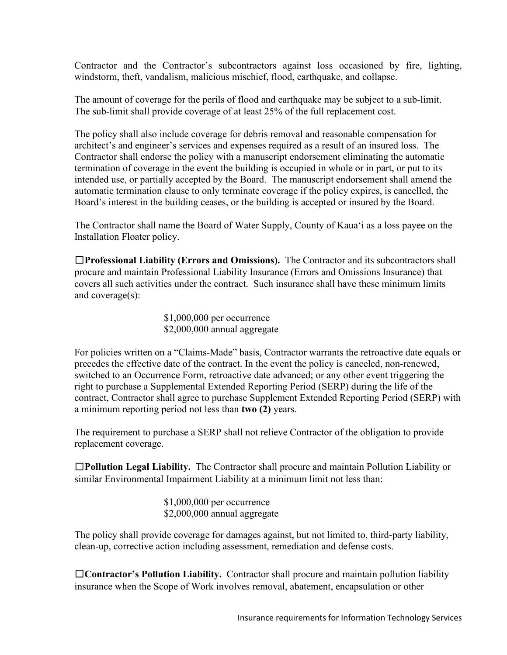Contractor and the Contractor's subcontractors against loss occasioned by fire, lighting, windstorm, theft, vandalism, malicious mischief, flood, earthquake, and collapse.

The amount of coverage for the perils of flood and earthquake may be subject to a sub-limit. The sub-limit shall provide coverage of at least 25% of the full replacement cost.

The policy shall also include coverage for debris removal and reasonable compensation for architect's and engineer's services and expenses required as a result of an insured loss. The Contractor shall endorse the policy with a manuscript endorsement eliminating the automatic termination of coverage in the event the building is occupied in whole or in part, or put to its intended use, or partially accepted by the Board. The manuscript endorsement shall amend the automatic termination clause to only terminate coverage if the policy expires, is cancelled, the Board's interest in the building ceases, or the building is accepted or insured by the Board.

The Contractor shall name the Board of Water Supply, County of Kaua'i as a loss payee on the Installation Floater policy.

☐**Professional Liability (Errors and Omissions).** The Contractor and its subcontractors shall procure and maintain Professional Liability Insurance (Errors and Omissions Insurance) that covers all such activities under the contract. Such insurance shall have these minimum limits and coverage(s):

> \$1,000,000 per occurrence \$2,000,000 annual aggregate

For policies written on a "Claims-Made" basis, Contractor warrants the retroactive date equals or precedes the effective date of the contract. In the event the policy is canceled, non-renewed, switched to an Occurrence Form, retroactive date advanced; or any other event triggering the right to purchase a Supplemental Extended Reporting Period (SERP) during the life of the contract, Contractor shall agree to purchase Supplement Extended Reporting Period (SERP) with a minimum reporting period not less than **two (2)** years.

The requirement to purchase a SERP shall not relieve Contractor of the obligation to provide replacement coverage.

☐**Pollution Legal Liability.** The Contractor shall procure and maintain Pollution Liability or similar Environmental Impairment Liability at a minimum limit not less than:

> \$1,000,000 per occurrence \$2,000,000 annual aggregate

The policy shall provide coverage for damages against, but not limited to, third-party liability, clean-up, corrective action including assessment, remediation and defense costs.

☐**Contractor's Pollution Liability.** Contractor shall procure and maintain pollution liability insurance when the Scope of Work involves removal, abatement, encapsulation or other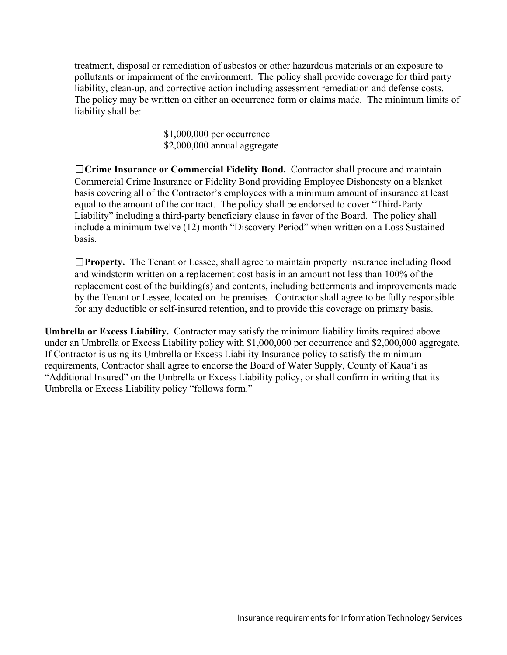treatment, disposal or remediation of asbestos or other hazardous materials or an exposure to pollutants or impairment of the environment. The policy shall provide coverage for third party liability, clean-up, and corrective action including assessment remediation and defense costs. The policy may be written on either an occurrence form or claims made. The minimum limits of liability shall be:

> \$1,000,000 per occurrence \$2,000,000 annual aggregate

☐**Crime Insurance or Commercial Fidelity Bond.** Contractor shall procure and maintain Commercial Crime Insurance or Fidelity Bond providing Employee Dishonesty on a blanket basis covering all of the Contractor's employees with a minimum amount of insurance at least equal to the amount of the contract. The policy shall be endorsed to cover "Third-Party Liability" including a third-party beneficiary clause in favor of the Board. The policy shall include a minimum twelve (12) month "Discovery Period" when written on a Loss Sustained basis.

☐**Property.** The Tenant or Lessee, shall agree to maintain property insurance including flood and windstorm written on a replacement cost basis in an amount not less than 100% of the replacement cost of the building(s) and contents, including betterments and improvements made by the Tenant or Lessee, located on the premises. Contractor shall agree to be fully responsible for any deductible or self-insured retention, and to provide this coverage on primary basis.

**Umbrella or Excess Liability.** Contractor may satisfy the minimum liability limits required above under an Umbrella or Excess Liability policy with \$1,000,000 per occurrence and \$2,000,000 aggregate. If Contractor is using its Umbrella or Excess Liability Insurance policy to satisfy the minimum requirements, Contractor shall agree to endorse the Board of Water Supply, County of Kaua'i as "Additional Insured" on the Umbrella or Excess Liability policy, or shall confirm in writing that its Umbrella or Excess Liability policy "follows form."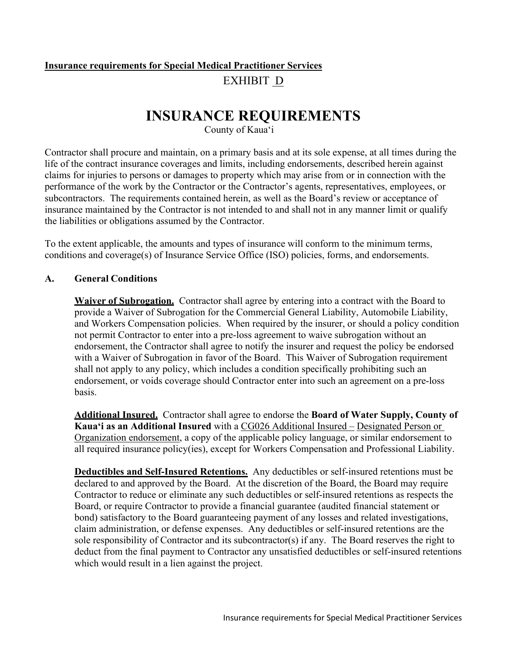# **Insurance requirements for Special Medical Practitioner Services** EXHIBIT D

# **INSURANCE REQUIREMENTS**

County of Kaua'i

Contractor shall procure and maintain, on a primary basis and at its sole expense, at all times during the life of the contract insurance coverages and limits, including endorsements, described herein against claims for injuries to persons or damages to property which may arise from or in connection with the performance of the work by the Contractor or the Contractor's agents, representatives, employees, or subcontractors. The requirements contained herein, as well as the Board's review or acceptance of insurance maintained by the Contractor is not intended to and shall not in any manner limit or qualify the liabilities or obligations assumed by the Contractor.

To the extent applicable, the amounts and types of insurance will conform to the minimum terms, conditions and coverage(s) of Insurance Service Office (ISO) policies, forms, and endorsements.

## **A. General Conditions**

**Waiver of Subrogation.** Contractor shall agree by entering into a contract with the Board to provide a Waiver of Subrogation for the Commercial General Liability, Automobile Liability, and Workers Compensation policies. When required by the insurer, or should a policy condition not permit Contractor to enter into a pre-loss agreement to waive subrogation without an endorsement, the Contractor shall agree to notify the insurer and request the policy be endorsed with a Waiver of Subrogation in favor of the Board. This Waiver of Subrogation requirement shall not apply to any policy, which includes a condition specifically prohibiting such an endorsement, or voids coverage should Contractor enter into such an agreement on a pre-loss basis.

**Additional Insured.** Contractor shall agree to endorse the **Board of Water Supply, County of Kaua'i as an Additional Insured** with a CG026 Additional Insured – Designated Person or Organization endorsement, a copy of the applicable policy language, or similar endorsement to all required insurance policy(ies), except for Workers Compensation and Professional Liability.

**Deductibles and Self-Insured Retentions.** Any deductibles or self-insured retentions must be declared to and approved by the Board. At the discretion of the Board, the Board may require Contractor to reduce or eliminate any such deductibles or self-insured retentions as respects the Board, or require Contractor to provide a financial guarantee (audited financial statement or bond) satisfactory to the Board guaranteeing payment of any losses and related investigations, claim administration, or defense expenses. Any deductibles or self-insured retentions are the sole responsibility of Contractor and its subcontractor(s) if any. The Board reserves the right to deduct from the final payment to Contractor any unsatisfied deductibles or self-insured retentions which would result in a lien against the project.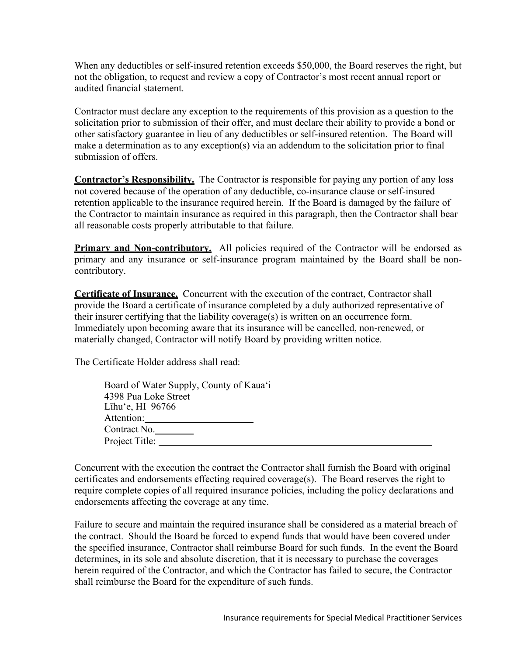When any deductibles or self-insured retention exceeds \$50,000, the Board reserves the right, but not the obligation, to request and review a copy of Contractor's most recent annual report or audited financial statement.

Contractor must declare any exception to the requirements of this provision as a question to the solicitation prior to submission of their offer, and must declare their ability to provide a bond or other satisfactory guarantee in lieu of any deductibles or self-insured retention. The Board will make a determination as to any exception(s) via an addendum to the solicitation prior to final submission of offers.

**Contractor's Responsibility.** The Contractor is responsible for paying any portion of any loss not covered because of the operation of any deductible, co-insurance clause or self-insured retention applicable to the insurance required herein. If the Board is damaged by the failure of the Contractor to maintain insurance as required in this paragraph, then the Contractor shall bear all reasonable costs properly attributable to that failure.

**Primary and Non-contributory.** All policies required of the Contractor will be endorsed as primary and any insurance or self-insurance program maintained by the Board shall be noncontributory.

**Certificate of Insurance.** Concurrent with the execution of the contract, Contractor shall provide the Board a certificate of insurance completed by a duly authorized representative of their insurer certifying that the liability coverage(s) is written on an occurrence form. Immediately upon becoming aware that its insurance will be cancelled, non-renewed, or materially changed, Contractor will notify Board by providing written notice.

The Certificate Holder address shall read:

| Board of Water Supply, County of Kaua'i |
|-----------------------------------------|
| 4398 Pua Loke Street                    |
| Līhu'e, HI $96766$                      |
| Attention:                              |
| Contract No.                            |
| Project Title:                          |
|                                         |

Concurrent with the execution the contract the Contractor shall furnish the Board with original certificates and endorsements effecting required coverage(s). The Board reserves the right to require complete copies of all required insurance policies, including the policy declarations and endorsements affecting the coverage at any time.

Failure to secure and maintain the required insurance shall be considered as a material breach of the contract. Should the Board be forced to expend funds that would have been covered under the specified insurance, Contractor shall reimburse Board for such funds. In the event the Board determines, in its sole and absolute discretion, that it is necessary to purchase the coverages herein required of the Contractor, and which the Contractor has failed to secure, the Contractor shall reimburse the Board for the expenditure of such funds.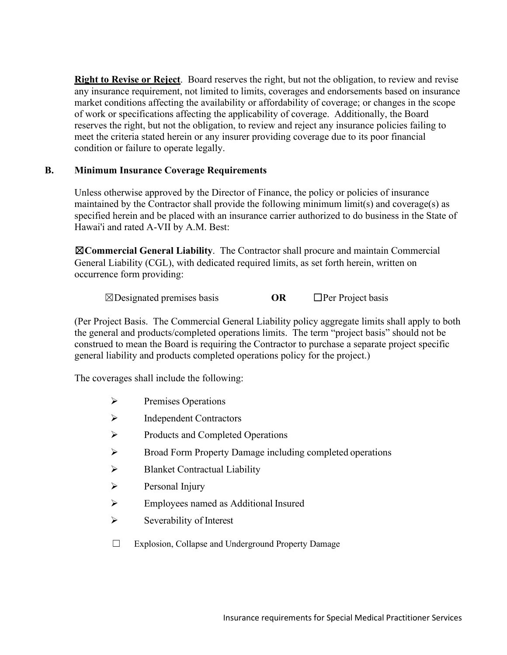**Right to Revise or Reject**. Board reserves the right, but not the obligation, to review and revise any insurance requirement, not limited to limits, coverages and endorsements based on insurance market conditions affecting the availability or affordability of coverage; or changes in the scope of work or specifications affecting the applicability of coverage. Additionally, the Board reserves the right, but not the obligation, to review and reject any insurance policies failing to meet the criteria stated herein or any insurer providing coverage due to its poor financial condition or failure to operate legally.

## **B. Minimum Insurance Coverage Requirements**

Unless otherwise approved by the Director of Finance, the policy or policies of insurance maintained by the Contractor shall provide the following minimum limit(s) and coverage(s) as specified herein and be placed with an insurance carrier authorized to do business in the State of Hawai'i and rated A-VII by A.M. Best:

☒**Commercial General Liability**. The Contractor shall procure and maintain Commercial General Liability (CGL), with dedicated required limits, as set forth herein, written on occurrence form providing:

☒Designated premises basis **OR** ☐Per Project basis

(Per Project Basis. The Commercial General Liability policy aggregate limits shall apply to both the general and products/completed operations limits. The term "project basis" should not be construed to mean the Board is requiring the Contractor to purchase a separate project specific general liability and products completed operations policy for the project.)

The coverages shall include the following:

- $\triangleright$  Premises Operations
- $\triangleright$  Independent Contractors
- $\triangleright$  Products and Completed Operations
- Broad Form Property Damage including completed operations
- $\triangleright$  Blanket Contractual Liability
- $\triangleright$  Personal Injury
- Employees named as Additional Insured
- $\triangleright$  Severability of Interest
- ☐ Explosion, Collapse and Underground Property Damage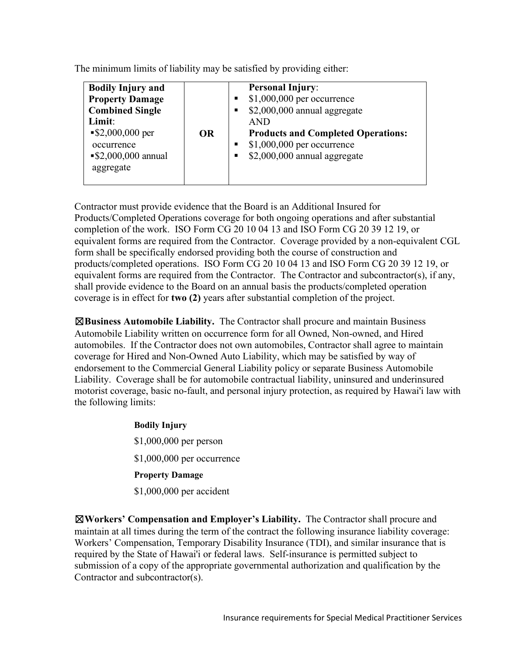The minimum limits of liability may be satisfied by providing either:

Contractor must provide evidence that the Board is an Additional Insured for Products/Completed Operations coverage for both ongoing operations and after substantial completion of the work. ISO Form CG 20 10 04 13 and ISO Form CG 20 39 12 19, or equivalent forms are required from the Contractor. Coverage provided by a non-equivalent CGL form shall be specifically endorsed providing both the course of construction and products/completed operations. ISO Form CG 20 10 04 13 and ISO Form CG 20 39 12 19, or equivalent forms are required from the Contractor. The Contractor and subcontractor(s), if any, shall provide evidence to the Board on an annual basis the products/completed operation coverage is in effect for **two (2)** years after substantial completion of the project.

☒**Business Automobile Liability.** The Contractor shall procure and maintain Business Automobile Liability written on occurrence form for all Owned, Non-owned, and Hired automobiles. If the Contractor does not own automobiles, Contractor shall agree to maintain coverage for Hired and Non-Owned Auto Liability, which may be satisfied by way of endorsement to the Commercial General Liability policy or separate Business Automobile Liability. Coverage shall be for automobile contractual liability, uninsured and underinsured motorist coverage, basic no-fault, and personal injury protection, as required by Hawai'i law with the following limits:

> **Bodily Injury** \$1,000,000 per person \$1,000,000 per occurrence **Property Damage** \$1,000,000 per accident

☒**Workers' Compensation and Employer's Liability.** The Contractor shall procure and maintain at all times during the term of the contract the following insurance liability coverage: Workers' Compensation, Temporary Disability Insurance (TDI), and similar insurance that is required by the State of Hawai'i or federal laws. Self-insurance is permitted subject to submission of a copy of the appropriate governmental authorization and qualification by the Contractor and subcontractor(s).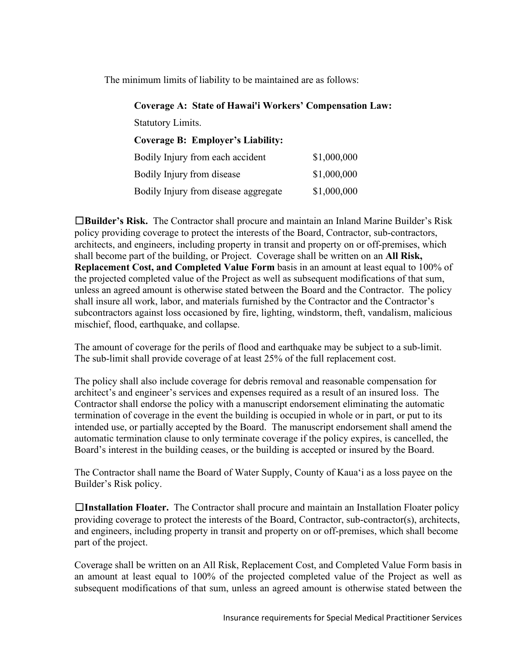The minimum limits of liability to be maintained are as follows:

**Coverage A: State of Hawai'i Workers' Compensation Law:**

Statutory Limits.

**Coverage B: Employer's Liability:**

| Bodily Injury from each accident     | \$1,000,000 |
|--------------------------------------|-------------|
| Bodily Injury from disease           | \$1,000,000 |
| Bodily Injury from disease aggregate | \$1,000,000 |

☐**Builder's Risk.** The Contractor shall procure and maintain an Inland Marine Builder's Risk policy providing coverage to protect the interests of the Board, Contractor, sub-contractors, architects, and engineers, including property in transit and property on or off-premises, which shall become part of the building, or Project. Coverage shall be written on an **All Risk, Replacement Cost, and Completed Value Form** basis in an amount at least equal to 100% of the projected completed value of the Project as well as subsequent modifications of that sum, unless an agreed amount is otherwise stated between the Board and the Contractor. The policy shall insure all work, labor, and materials furnished by the Contractor and the Contractor's subcontractors against loss occasioned by fire, lighting, windstorm, theft, vandalism, malicious mischief, flood, earthquake, and collapse.

The amount of coverage for the perils of flood and earthquake may be subject to a sub-limit. The sub-limit shall provide coverage of at least 25% of the full replacement cost.

The policy shall also include coverage for debris removal and reasonable compensation for architect's and engineer's services and expenses required as a result of an insured loss. The Contractor shall endorse the policy with a manuscript endorsement eliminating the automatic termination of coverage in the event the building is occupied in whole or in part, or put to its intended use, or partially accepted by the Board. The manuscript endorsement shall amend the automatic termination clause to only terminate coverage if the policy expires, is cancelled, the Board's interest in the building ceases, or the building is accepted or insured by the Board.

The Contractor shall name the Board of Water Supply, County of Kaua'i as a loss payee on the Builder's Risk policy.

☐**Installation Floater.** The Contractor shall procure and maintain an Installation Floater policy providing coverage to protect the interests of the Board, Contractor, sub-contractor(s), architects, and engineers, including property in transit and property on or off-premises, which shall become part of the project.

Coverage shall be written on an All Risk, Replacement Cost, and Completed Value Form basis in an amount at least equal to 100% of the projected completed value of the Project as well as subsequent modifications of that sum, unless an agreed amount is otherwise stated between the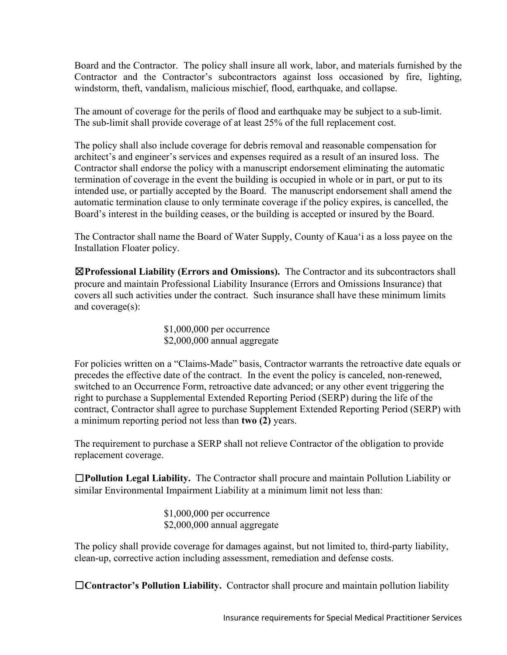Board and the Contractor. The policy shall insure all work, labor, and materials furnished by the Contractor and the Contractor's subcontractors against loss occasioned by fire, lighting, windstorm, theft, vandalism, malicious mischief, flood, earthquake, and collapse.

The amount of coverage for the perils of flood and earthquake may be subject to a sub-limit. The sub-limit shall provide coverage of at least 25% of the full replacement cost.

The policy shall also include coverage for debris removal and reasonable compensation for architect's and engineer's services and expenses required as a result of an insured loss. The Contractor shall endorse the policy with a manuscript endorsement eliminating the automatic termination of coverage in the event the building is occupied in whole or in part, or put to its intended use, or partially accepted by the Board. The manuscript endorsement shall amend the automatic termination clause to only terminate coverage if the policy expires, is cancelled, the Board's interest in the building ceases, or the building is accepted or insured by the Board.

The Contractor shall name the Board of Water Supply, County of Kaua'i as a loss payee on the Installation Floater policy.

☒**Professional Liability (Errors and Omissions).** The Contractor and its subcontractors shall procure and maintain Professional Liability Insurance (Errors and Omissions Insurance) that covers all such activities under the contract. Such insurance shall have these minimum limits and coverage(s):

> \$1,000,000 per occurrence \$2,000,000 annual aggregate

For policies written on a "Claims-Made" basis, Contractor warrants the retroactive date equals or precedes the effective date of the contract. In the event the policy is canceled, non-renewed, switched to an Occurrence Form, retroactive date advanced; or any other event triggering the right to purchase a Supplemental Extended Reporting Period (SERP) during the life of the contract, Contractor shall agree to purchase Supplement Extended Reporting Period (SERP) with a minimum reporting period not less than **two (2)** years.

The requirement to purchase a SERP shall not relieve Contractor of the obligation to provide replacement coverage.

☐**Pollution Legal Liability.** The Contractor shall procure and maintain Pollution Liability or similar Environmental Impairment Liability at a minimum limit not less than:

> \$1,000,000 per occurrence \$2,000,000 annual aggregate

The policy shall provide coverage for damages against, but not limited to, third-party liability, clean-up, corrective action including assessment, remediation and defense costs.

☐**Contractor's Pollution Liability.** Contractor shall procure and maintain pollution liability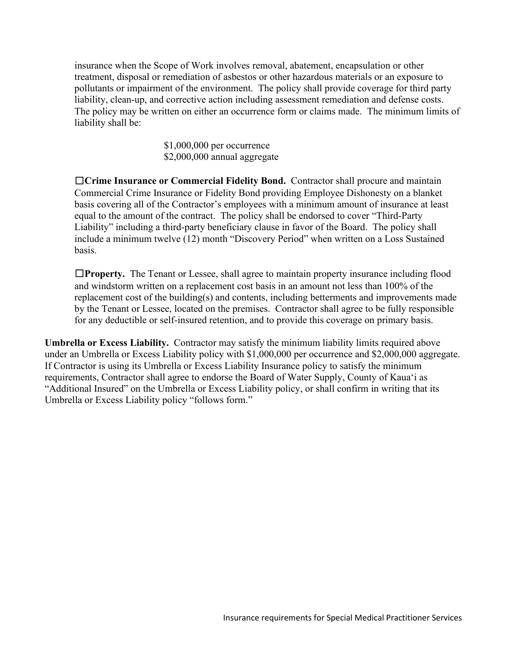insurance when the Scope of Work involves removal, abatement, encapsulation or other treatment, disposal or remediation of asbestos or other hazardous materials or an exposure to pollutants or impairment of the environment. The policy shall provide coverage for third party liability, clean-up, and corrective action including assessment remediation and defense costs. The policy may be written on either an occurrence form or claims made. The minimum limits of liability shall be:

> \$1,000,000 per occurrence \$2,000,000 annual aggregate

☐**Crime Insurance or Commercial Fidelity Bond.** Contractor shall procure and maintain Commercial Crime Insurance or Fidelity Bond providing Employee Dishonesty on a blanket basis covering all of the Contractor's employees with a minimum amount of insurance at least equal to the amount of the contract. The policy shall be endorsed to cover "Third-Party Liability" including a third-party beneficiary clause in favor of the Board. The policy shall include a minimum twelve (12) month "Discovery Period" when written on a Loss Sustained basis.

☐**Property.** The Tenant or Lessee, shall agree to maintain property insurance including flood and windstorm written on a replacement cost basis in an amount not less than 100% of the replacement cost of the building(s) and contents, including betterments and improvements made by the Tenant or Lessee, located on the premises. Contractor shall agree to be fully responsible for any deductible or self-insured retention, and to provide this coverage on primary basis.

**Umbrella or Excess Liability.** Contractor may satisfy the minimum liability limits required above under an Umbrella or Excess Liability policy with \$1,000,000 per occurrence and \$2,000,000 aggregate. If Contractor is using its Umbrella or Excess Liability Insurance policy to satisfy the minimum requirements, Contractor shall agree to endorse the Board of Water Supply, County of Kaua'i as "Additional Insured" on the Umbrella or Excess Liability policy, or shall confirm in writing that its Umbrella or Excess Liability policy "follows form."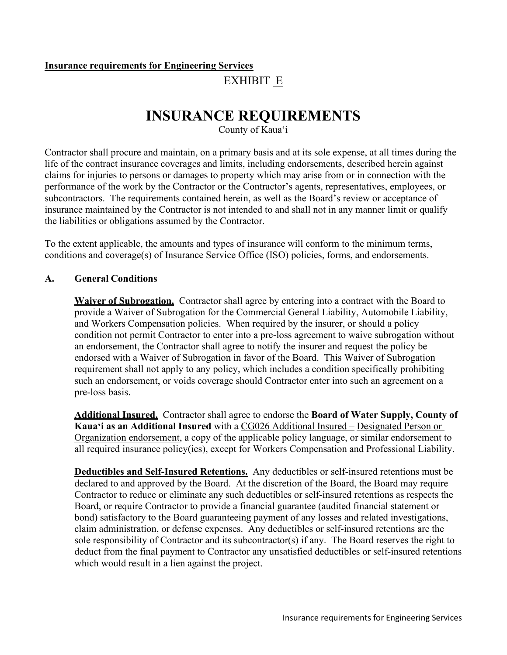# **Insurance requirements for Engineering Services**

EXHIBIT E

# **INSURANCE REQUIREMENTS**

County of Kaua'i

Contractor shall procure and maintain, on a primary basis and at its sole expense, at all times during the life of the contract insurance coverages and limits, including endorsements, described herein against claims for injuries to persons or damages to property which may arise from or in connection with the performance of the work by the Contractor or the Contractor's agents, representatives, employees, or subcontractors. The requirements contained herein, as well as the Board's review or acceptance of insurance maintained by the Contractor is not intended to and shall not in any manner limit or qualify the liabilities or obligations assumed by the Contractor.

To the extent applicable, the amounts and types of insurance will conform to the minimum terms, conditions and coverage(s) of Insurance Service Office (ISO) policies, forms, and endorsements.

# **A. General Conditions**

**Waiver of Subrogation.** Contractor shall agree by entering into a contract with the Board to provide a Waiver of Subrogation for the Commercial General Liability, Automobile Liability, and Workers Compensation policies. When required by the insurer, or should a policy condition not permit Contractor to enter into a pre-loss agreement to waive subrogation without an endorsement, the Contractor shall agree to notify the insurer and request the policy be endorsed with a Waiver of Subrogation in favor of the Board. This Waiver of Subrogation requirement shall not apply to any policy, which includes a condition specifically prohibiting such an endorsement, or voids coverage should Contractor enter into such an agreement on a pre-loss basis.

**Additional Insured.** Contractor shall agree to endorse the **Board of Water Supply, County of Kaua'i as an Additional Insured** with a CG026 Additional Insured – Designated Person or Organization endorsement, a copy of the applicable policy language, or similar endorsement to all required insurance policy(ies), except for Workers Compensation and Professional Liability.

**Deductibles and Self-Insured Retentions.** Any deductibles or self-insured retentions must be declared to and approved by the Board. At the discretion of the Board, the Board may require Contractor to reduce or eliminate any such deductibles or self-insured retentions as respects the Board, or require Contractor to provide a financial guarantee (audited financial statement or bond) satisfactory to the Board guaranteeing payment of any losses and related investigations, claim administration, or defense expenses. Any deductibles or self-insured retentions are the sole responsibility of Contractor and its subcontractor(s) if any. The Board reserves the right to deduct from the final payment to Contractor any unsatisfied deductibles or self-insured retentions which would result in a lien against the project.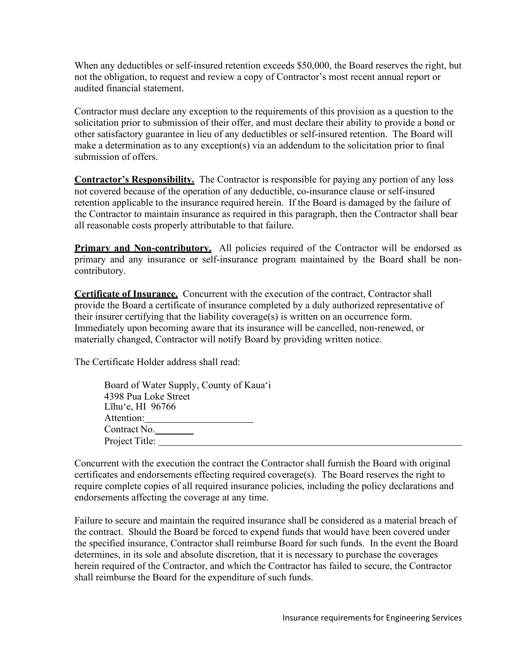When any deductibles or self-insured retention exceeds \$50,000, the Board reserves the right, but not the obligation, to request and review a copy of Contractor's most recent annual report or audited financial statement.

Contractor must declare any exception to the requirements of this provision as a question to the solicitation prior to submission of their offer, and must declare their ability to provide a bond or other satisfactory guarantee in lieu of any deductibles or self-insured retention. The Board will make a determination as to any exception(s) via an addendum to the solicitation prior to final submission of offers.

**Contractor's Responsibility.** The Contractor is responsible for paying any portion of any loss not covered because of the operation of any deductible, co-insurance clause or self-insured retention applicable to the insurance required herein. If the Board is damaged by the failure of the Contractor to maintain insurance as required in this paragraph, then the Contractor shall bear all reasonable costs properly attributable to that failure.

**Primary and Non-contributory.** All policies required of the Contractor will be endorsed as primary and any insurance or self-insurance program maintained by the Board shall be noncontributory.

**Certificate of Insurance.** Concurrent with the execution of the contract, Contractor shall provide the Board a certificate of insurance completed by a duly authorized representative of their insurer certifying that the liability coverage(s) is written on an occurrence form. Immediately upon becoming aware that its insurance will be cancelled, non-renewed, or materially changed, Contractor will notify Board by providing written notice.

The Certificate Holder address shall read:

| Board of Water Supply, County of Kaua'i |  |
|-----------------------------------------|--|
| 4398 Pua Loke Street                    |  |
| Līhu'e, HI $96766$                      |  |
| Attention:                              |  |
| Contract No.                            |  |
| Project Title:                          |  |
|                                         |  |

Concurrent with the execution the contract the Contractor shall furnish the Board with original certificates and endorsements effecting required coverage(s). The Board reserves the right to require complete copies of all required insurance policies, including the policy declarations and endorsements affecting the coverage at any time.

Failure to secure and maintain the required insurance shall be considered as a material breach of the contract. Should the Board be forced to expend funds that would have been covered under the specified insurance, Contractor shall reimburse Board for such funds. In the event the Board determines, in its sole and absolute discretion, that it is necessary to purchase the coverages herein required of the Contractor, and which the Contractor has failed to secure, the Contractor shall reimburse the Board for the expenditure of such funds.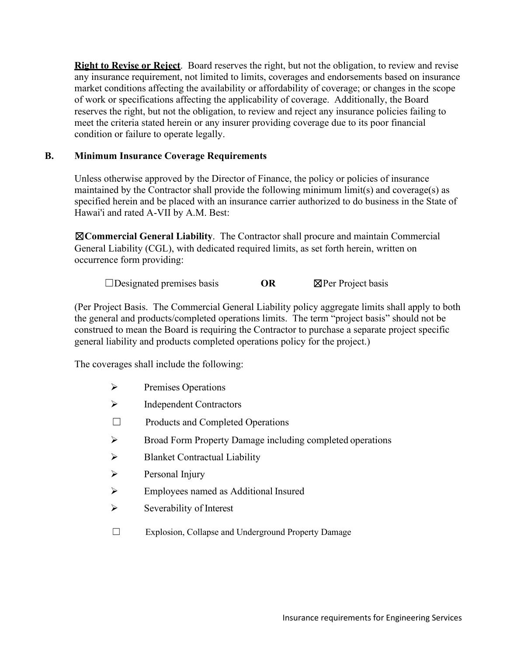**Right to Revise or Reject**. Board reserves the right, but not the obligation, to review and revise any insurance requirement, not limited to limits, coverages and endorsements based on insurance market conditions affecting the availability or affordability of coverage; or changes in the scope of work or specifications affecting the applicability of coverage. Additionally, the Board reserves the right, but not the obligation, to review and reject any insurance policies failing to meet the criteria stated herein or any insurer providing coverage due to its poor financial condition or failure to operate legally.

### **B. Minimum Insurance Coverage Requirements**

Unless otherwise approved by the Director of Finance, the policy or policies of insurance maintained by the Contractor shall provide the following minimum limit(s) and coverage(s) as specified herein and be placed with an insurance carrier authorized to do business in the State of Hawai'i and rated A-VII by A.M. Best:

☒**Commercial General Liability**. The Contractor shall procure and maintain Commercial General Liability (CGL), with dedicated required limits, as set forth herein, written on occurrence form providing:

☐Designated premises basis **OR** ☒Per Project basis

(Per Project Basis. The Commercial General Liability policy aggregate limits shall apply to both the general and products/completed operations limits. The term "project basis" should not be construed to mean the Board is requiring the Contractor to purchase a separate project specific general liability and products completed operations policy for the project.)

The coverages shall include the following:

- $\triangleright$  Premises Operations
- $\triangleright$  Independent Contractors
- ☐ Products and Completed Operations
- Broad Form Property Damage including completed operations
- $\triangleright$  Blanket Contractual Liability
- $\triangleright$  Personal Injury
- Employees named as Additional Insured
- $\triangleright$  Severability of Interest
- ☐ Explosion, Collapse and Underground Property Damage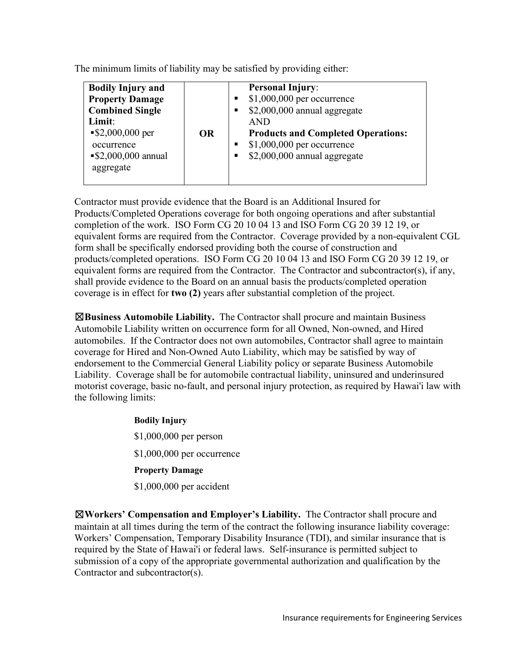The minimum limits of liability may be satisfied by providing either:

Contractor must provide evidence that the Board is an Additional Insured for Products/Completed Operations coverage for both ongoing operations and after substantial completion of the work. ISO Form CG 20 10 04 13 and ISO Form CG 20 39 12 19, or equivalent forms are required from the Contractor. Coverage provided by a non-equivalent CGL form shall be specifically endorsed providing both the course of construction and products/completed operations. ISO Form CG 20 10 04 13 and ISO Form CG 20 39 12 19, or equivalent forms are required from the Contractor. The Contractor and subcontractor(s), if any, shall provide evidence to the Board on an annual basis the products/completed operation coverage is in effect for **two (2)** years after substantial completion of the project.

☒**Business Automobile Liability.** The Contractor shall procure and maintain Business Automobile Liability written on occurrence form for all Owned, Non-owned, and Hired automobiles. If the Contractor does not own automobiles, Contractor shall agree to maintain coverage for Hired and Non-Owned Auto Liability, which may be satisfied by way of endorsement to the Commercial General Liability policy or separate Business Automobile Liability. Coverage shall be for automobile contractual liability, uninsured and underinsured motorist coverage, basic no-fault, and personal injury protection, as required by Hawai'i law with the following limits:

> **Bodily Injury** \$1,000,000 per person \$1,000,000 per occurrence **Property Damage** \$1,000,000 per accident

☒**Workers' Compensation and Employer's Liability.** The Contractor shall procure and maintain at all times during the term of the contract the following insurance liability coverage: Workers' Compensation, Temporary Disability Insurance (TDI), and similar insurance that is required by the State of Hawai'i or federal laws. Self-insurance is permitted subject to submission of a copy of the appropriate governmental authorization and qualification by the Contractor and subcontractor(s).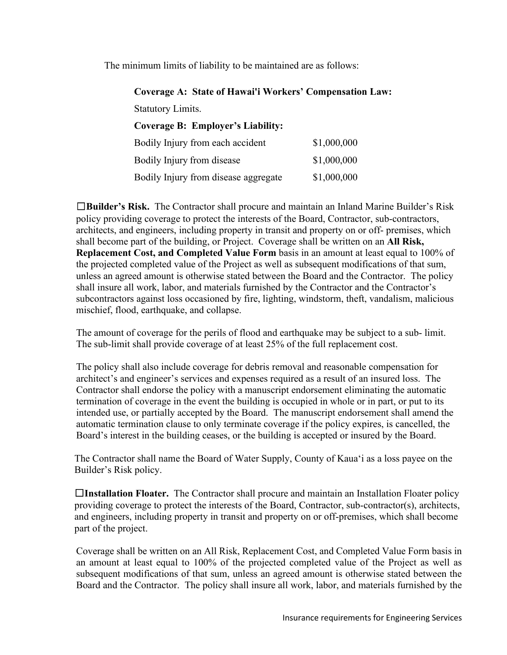The minimum limits of liability to be maintained are as follows:

### **Coverage A: State of Hawai'i Workers' Compensation Law:**

Statutory Limits.

## **Coverage B: Employer's Liability:**

| Bodily Injury from each accident     | \$1,000,000 |
|--------------------------------------|-------------|
| Bodily Injury from disease           | \$1,000,000 |
| Bodily Injury from disease aggregate | \$1,000,000 |

☐**Builder's Risk.** The Contractor shall procure and maintain an Inland Marine Builder's Risk policy providing coverage to protect the interests of the Board, Contractor, sub-contractors, architects, and engineers, including property in transit and property on or off- premises, which shall become part of the building, or Project. Coverage shall be written on an **All Risk, Replacement Cost, and Completed Value Form** basis in an amount at least equal to 100% of the projected completed value of the Project as well as subsequent modifications of that sum, unless an agreed amount is otherwise stated between the Board and the Contractor. The policy shall insure all work, labor, and materials furnished by the Contractor and the Contractor's subcontractors against loss occasioned by fire, lighting, windstorm, theft, vandalism, malicious mischief, flood, earthquake, and collapse.

The amount of coverage for the perils of flood and earthquake may be subject to a sub- limit. The sub-limit shall provide coverage of at least 25% of the full replacement cost.

The policy shall also include coverage for debris removal and reasonable compensation for architect's and engineer's services and expenses required as a result of an insured loss. The Contractor shall endorse the policy with a manuscript endorsement eliminating the automatic termination of coverage in the event the building is occupied in whole or in part, or put to its intended use, or partially accepted by the Board. The manuscript endorsement shall amend the automatic termination clause to only terminate coverage if the policy expires, is cancelled, the Board's interest in the building ceases, or the building is accepted or insured by the Board.

The Contractor shall name the Board of Water Supply, County of Kaua'i as a loss payee on the Builder's Risk policy.

☐**Installation Floater.** The Contractor shall procure and maintain an Installation Floater policy providing coverage to protect the interests of the Board, Contractor, sub-contractor(s), architects, and engineers, including property in transit and property on or off-premises, which shall become part of the project.

Coverage shall be written on an All Risk, Replacement Cost, and Completed Value Form basis in an amount at least equal to 100% of the projected completed value of the Project as well as subsequent modifications of that sum, unless an agreed amount is otherwise stated between the Board and the Contractor. The policy shall insure all work, labor, and materials furnished by the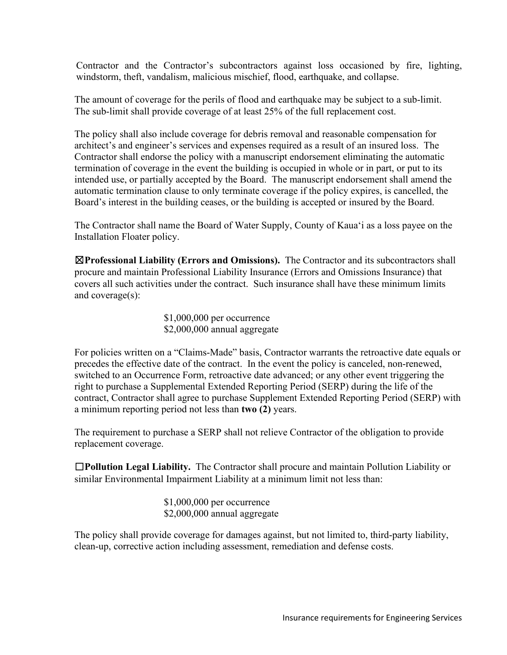Contractor and the Contractor's subcontractors against loss occasioned by fire, lighting, windstorm, theft, vandalism, malicious mischief, flood, earthquake, and collapse.

The amount of coverage for the perils of flood and earthquake may be subject to a sub-limit. The sub-limit shall provide coverage of at least 25% of the full replacement cost.

The policy shall also include coverage for debris removal and reasonable compensation for architect's and engineer's services and expenses required as a result of an insured loss. The Contractor shall endorse the policy with a manuscript endorsement eliminating the automatic termination of coverage in the event the building is occupied in whole or in part, or put to its intended use, or partially accepted by the Board. The manuscript endorsement shall amend the automatic termination clause to only terminate coverage if the policy expires, is cancelled, the Board's interest in the building ceases, or the building is accepted or insured by the Board.

The Contractor shall name the Board of Water Supply, County of Kaua'i as a loss payee on the Installation Floater policy.

☒**Professional Liability (Errors and Omissions).** The Contractor and its subcontractors shall procure and maintain Professional Liability Insurance (Errors and Omissions Insurance) that covers all such activities under the contract. Such insurance shall have these minimum limits and coverage(s):

> \$1,000,000 per occurrence \$2,000,000 annual aggregate

For policies written on a "Claims-Made" basis, Contractor warrants the retroactive date equals or precedes the effective date of the contract. In the event the policy is canceled, non-renewed, switched to an Occurrence Form, retroactive date advanced; or any other event triggering the right to purchase a Supplemental Extended Reporting Period (SERP) during the life of the contract, Contractor shall agree to purchase Supplement Extended Reporting Period (SERP) with a minimum reporting period not less than **two (2)** years.

The requirement to purchase a SERP shall not relieve Contractor of the obligation to provide replacement coverage.

☐**Pollution Legal Liability.** The Contractor shall procure and maintain Pollution Liability or similar Environmental Impairment Liability at a minimum limit not less than:

> \$1,000,000 per occurrence \$2,000,000 annual aggregate

The policy shall provide coverage for damages against, but not limited to, third-party liability, clean-up, corrective action including assessment, remediation and defense costs.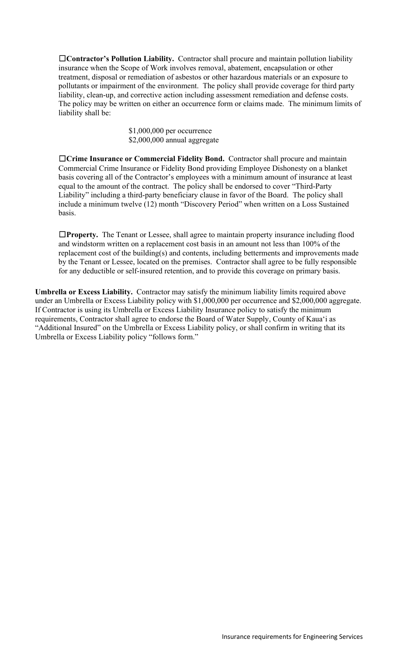☐**Contractor's Pollution Liability.** Contractor shall procure and maintain pollution liability insurance when the Scope of Work involves removal, abatement, encapsulation or other treatment, disposal or remediation of asbestos or other hazardous materials or an exposure to pollutants or impairment of the environment. The policy shall provide coverage for third party liability, clean-up, and corrective action including assessment remediation and defense costs. The policy may be written on either an occurrence form or claims made. The minimum limits of liability shall be:

> \$1,000,000 per occurrence \$2,000,000 annual aggregate

☐**Crime Insurance or Commercial Fidelity Bond.** Contractor shall procure and maintain Commercial Crime Insurance or Fidelity Bond providing Employee Dishonesty on a blanket basis covering all of the Contractor's employees with a minimum amount of insurance at least equal to the amount of the contract. The policy shall be endorsed to cover "Third-Party Liability" including a third-party beneficiary clause in favor of the Board. The policy shall include a minimum twelve (12) month "Discovery Period" when written on a Loss Sustained basis.

☐**Property.** The Tenant or Lessee, shall agree to maintain property insurance including flood and windstorm written on a replacement cost basis in an amount not less than 100% of the replacement cost of the building(s) and contents, including betterments and improvements made by the Tenant or Lessee, located on the premises. Contractor shall agree to be fully responsible for any deductible or self-insured retention, and to provide this coverage on primary basis.

**Umbrella or Excess Liability.** Contractor may satisfy the minimum liability limits required above under an Umbrella or Excess Liability policy with \$1,000,000 per occurrence and \$2,000,000 aggregate. If Contractor is using its Umbrella or Excess Liability Insurance policy to satisfy the minimum requirements, Contractor shall agree to endorse the Board of Water Supply, County of Kaua'i as "Additional Insured" on the Umbrella or Excess Liability policy, or shall confirm in writing that its Umbrella or Excess Liability policy "follows form."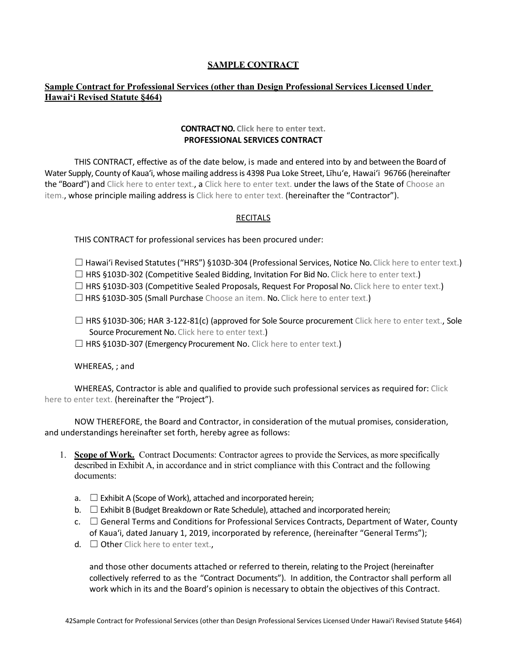### **SAMPLE CONTRACT**

### **Sample Contract for Professional Services (other than Design Professional Services Licensed Under Hawaiʻi Revised Statute §464)**

### **CONTRACTNO. Click here to enter text. PROFESSIONAL SERVICES CONTRACT**

THIS CONTRACT, effective as of the date below, is made and entered into by and between the Board of Water Supply, County of Kauaʻi, whose mailing addressis 4398 Pua Loke Street, Līhuʻe, Hawaiʻi 96766 (hereinafter the "Board") and Click here to enter text., a Click here to enter text. under the laws of the State of Choose an item., whose principle mailing address is Click here to enter text. (hereinafter the "Contractor").

### **RECITALS**

THIS CONTRACT for professional services has been procured under:

 $\Box$  Hawai'i Revised Statutes ("HRS") §103D-304 (Professional Services, Notice No. Click here to enter text.)  $\Box$  HRS §103D-302 (Competitive Sealed Bidding, Invitation For Bid No. Click here to enter text.)

☐ HRS §103D-303 (Competitive Sealed Proposals, Request For Proposal No. Click here to enter text.)

□ HRS §103D-305 (Small Purchase Choose an item. No. Click here to enter text.)

 $\Box$  HRS §103D-306; HAR 3-122-81(c) (approved for Sole Source procurement Click here to enter text., Sole Source Procurement No. Click here to enter text.)

□ HRS §103D-307 (Emergency Procurement No. Click here to enter text.)

WHEREAS, ; and

WHEREAS, Contractor is able and qualified to provide such professional services as required for: Click here to enter text. (hereinafter the "Project").

NOW THEREFORE, the Board and Contractor, in consideration of the mutual promises, consideration, and understandings hereinafter set forth, hereby agree as follows:

- 1. **Scope of Work.** Contract Documents: Contractor agrees to provide the Services, as more specifically described in Exhibit A, in accordance and in strict compliance with this Contract and the following documents:
	- $a. \Box$  Exhibit A (Scope of Work), attached and incorporated herein;
	- b.  $\Box$  Exhibit B (Budget Breakdown or Rate Schedule), attached and incorporated herein;
	- c.  $\Box$  General Terms and Conditions for Professional Services Contracts, Department of Water, County of Kauaʻi, dated January 1, 2019, incorporated by reference, (hereinafter "General Terms");
	- $d. \Box$  Other Click here to enter text.

and those other documents attached or referred to therein, relating to the Project (hereinafter collectively referred to as the "Contract Documents"). In addition, the Contractor shall perform all work which in its and the Board's opinion is necessary to obtain the objectives of this Contract.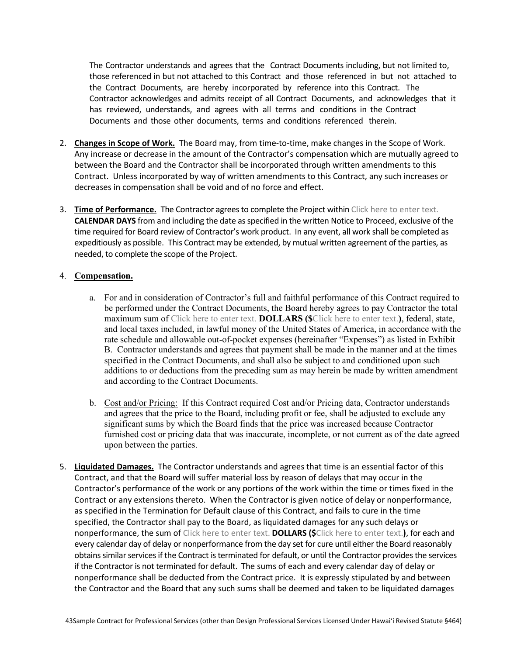The Contractor understands and agrees that the Contract Documents including, but not limited to, those referenced in but not attached to this Contract and those referenced in but not attached to the Contract Documents, are hereby incorporated by reference into this Contract. The Contractor acknowledges and admits receipt of all Contract Documents, and acknowledges that it has reviewed, understands, and agrees with all terms and conditions in the Contract Documents and those other documents, terms and conditions referenced therein.

- 2. **Changes in Scope of Work.** The Board may, from time-to-time, make changes in the Scope of Work. Any increase or decrease in the amount of the Contractor's compensation which are mutually agreed to between the Board and the Contractor shall be incorporated through written amendments to this Contract. Unless incorporated by way of written amendments to this Contract, any such increases or decreases in compensation shall be void and of no force and effect.
- 3. **Time of Performance.** The Contractor agrees to complete the Project within Click here to enter text. **CALENDAR DAYS** from and including the date as specified in the written Notice to Proceed, exclusive of the time required for Board review of Contractor's work product. In any event, all work shall be completed as expeditiously as possible. This Contract may be extended, by mutual written agreement of the parties, as needed, to complete the scope of the Project.

### 4. **Compensation.**

- a. For and in consideration of Contractor's full and faithful performance of this Contract required to be performed under the Contract Documents, the Board hereby agrees to pay Contractor the total maximum sum of Click here to enter text. **DOLLARS (\$**Click here to enter text.**)**, federal, state, and local taxes included, in lawful money of the United States of America, in accordance with the rate schedule and allowable out-of-pocket expenses (hereinafter "Expenses") as listed in Exhibit B. Contractor understands and agrees that payment shall be made in the manner and at the times specified in the Contract Documents, and shall also be subject to and conditioned upon such additions to or deductions from the preceding sum as may herein be made by written amendment and according to the Contract Documents.
- b. Cost and/or Pricing: If this Contract required Cost and/or Pricing data, Contractor understands and agrees that the price to the Board, including profit or fee, shall be adjusted to exclude any significant sums by which the Board finds that the price was increased because Contractor furnished cost or pricing data that was inaccurate, incomplete, or not current as of the date agreed upon between the parties.
- 5. **Liquidated Damages.** The Contractor understands and agrees that time is an essential factor of this Contract, and that the Board will suffer material loss by reason of delays that may occur in the Contractor's performance of the work or any portions of the work within the time or times fixed in the Contract or any extensions thereto. When the Contractor is given notice of delay or nonperformance, as specified in the Termination for Default clause of this Contract, and fails to cure in the time specified, the Contractor shall pay to the Board, as liquidated damages for any such delays or nonperformance, the sum of Click here to enter text. **DOLLARS (\$**Click here to enter text.**)**, for each and every calendar day of delay or nonperformance from the day set for cure until either the Board reasonably obtains similar services if the Contract is terminated for default, or until the Contractor provides the services if the Contractor is not terminated for default. The sums of each and every calendar day of delay or nonperformance shall be deducted from the Contract price. It is expressly stipulated by and between the Contractor and the Board that any such sums shall be deemed and taken to be liquidated damages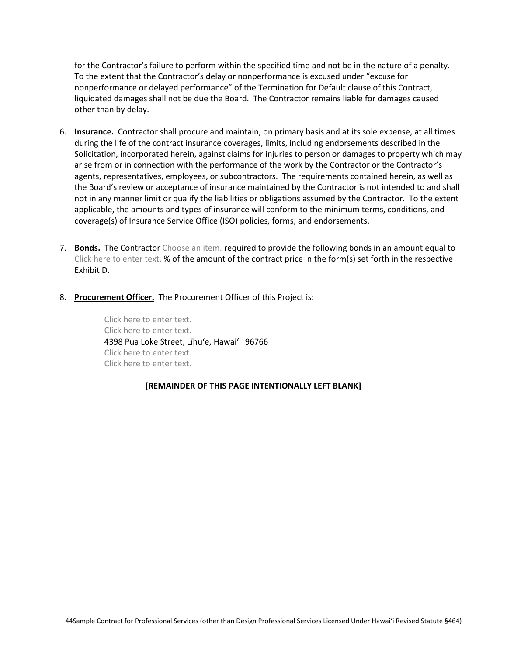for the Contractor's failure to perform within the specified time and not be in the nature of a penalty. To the extent that the Contractor's delay or nonperformance is excused under "excuse for nonperformance or delayed performance" of the Termination for Default clause of this Contract, liquidated damages shall not be due the Board. The Contractor remains liable for damages caused other than by delay.

- 6. **Insurance.** Contractor shall procure and maintain, on primary basis and at its sole expense, at all times during the life of the contract insurance coverages, limits, including endorsements described in the Solicitation, incorporated herein, against claims for injuries to person or damages to property which may arise from or in connection with the performance of the work by the Contractor or the Contractor's agents, representatives, employees, or subcontractors. The requirements contained herein, as well as the Board's review or acceptance of insurance maintained by the Contractor is not intended to and shall not in any manner limit or qualify the liabilities or obligations assumed by the Contractor. To the extent applicable, the amounts and types of insurance will conform to the minimum terms, conditions, and coverage(s) of Insurance Service Office (ISO) policies, forms, and endorsements.
- 7. **Bonds.** The Contractor Choose an item. required to provide the following bonds in an amount equal to Click here to enter text. % of the amount of the contract price in the form(s) set forth in the respective Exhibit D.
- 8. **Procurement Officer.** The Procurement Officer of this Project is:

Click here to enter text. Click here to enter text. 4398 Pua Loke Street, Līhu'e, Hawai'i 96766 Click here to enter text. Click here to enter text.

### **[REMAINDER OF THIS PAGE INTENTIONALLY LEFT BLANK]**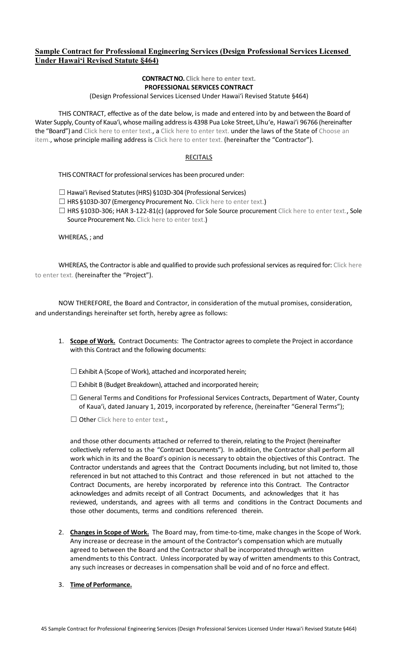## **Sample Contract for Professional Engineering Services (Design Professional Services Licensed Under Hawaiʻi Revised Statute §464)**

### **CONTRACTNO. Click here to enter text. PROFESSIONAL SERVICES CONTRACT**

(Design Professional Services Licensed Under Hawaiʻi Revised Statute §464)

THIS CONTRACT, effective as of the date below, is made and entered into by and between the Board of Water Supply, County of Kauaʻi, whose mailing addressis 4398 Pua Loke Street, Līhuʻe, Hawaiʻi 96766 (hereinafter the "Board") and Click here to enter text., a Click here to enter text. under the laws of the State of Choose an item., whose principle mailing address is Click here to enter text. (hereinafter the "Contractor").

### RECITALS

THIS CONTRACT for professional services has been procured under:

☐ Hawaiʻi Revised Statutes(HRS) §103D-304 (Professional Services)

□ HRS §103D-307 (Emergency Procurement No. Click here to enter text.)

☐ HRS §103D-306; HAR 3-122-81(c) (approved for Sole Source procurement Click here to enter text., Sole Source Procurement No. Click here to enter text.)

WHEREAS, ; and

WHEREAS, the Contractor is able and qualified to provide such professional services as required for: Click here to enter text. (hereinafter the "Project").

NOW THEREFORE, the Board and Contractor, in consideration of the mutual promises, consideration, and understandings hereinafter set forth, hereby agree as follows:

- 1. **Scope of Work.** Contract Documents: The Contractor agrees to complete the Project in accordance with this Contract and the following documents:
	- $\Box$  Exhibit A (Scope of Work), attached and incorporated herein;
	- $\Box$  Exhibit B (Budget Breakdown), attached and incorporated herein;
	- □ General Terms and Conditions for Professional Services Contracts, Department of Water, County of Kauaʻi, dated January 1, 2019, incorporated by reference, (hereinafter "General Terms");
	- $\Box$  Other Click here to enter text..

and those other documents attached or referred to therein, relating to the Project (hereinafter collectively referred to as the "Contract Documents"). In addition, the Contractor shall perform all work which in its and the Board's opinion is necessary to obtain the objectives of this Contract. The Contractor understands and agrees that the Contract Documents including, but not limited to, those referenced in but not attached to this Contract and those referenced in but not attached to the Contract Documents, are hereby incorporated by reference into this Contract. The Contractor acknowledges and admits receipt of all Contract Documents, and acknowledges that it has reviewed, understands, and agrees with all terms and conditions in the Contract Documents and those other documents, terms and conditions referenced therein.

- 2. **Changes in Scope of Work.** The Board may, from time-to-time, make changes in the Scope of Work. Any increase or decrease in the amount of the Contractor's compensation which are mutually agreed to between the Board and the Contractor shall be incorporated through written amendments to this Contract. Unless incorporated by way of written amendments to this Contract, any such increases or decreases in compensation shall be void and of no force and effect.
- 3. **Time of Performance.**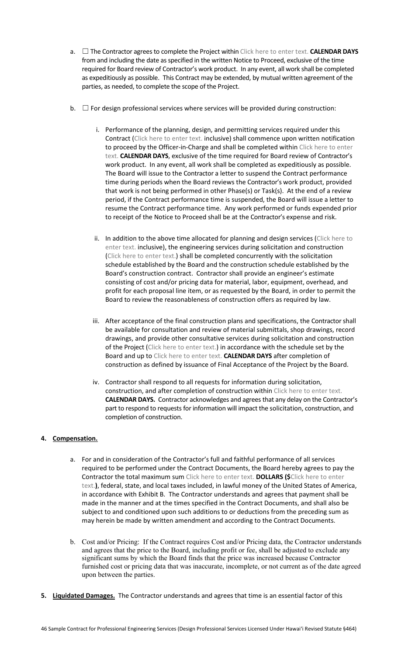- a. ☐ The Contractor agrees to complete the Project within Click here to enter text. **CALENDAR DAYS** from and including the date as specified in the written Notice to Proceed, exclusive of the time required for Board review of Contractor's work product. In any event, all work shall be completed as expeditiously as possible. This Contract may be extended, by mutual written agreement of the parties, as needed, to complete the scope of the Project.
- b.  $\Box$  For design professional services where services will be provided during construction:
	- i. Performance of the planning, design, and permitting services required under this Contract (Click here to enter text. inclusive) shall commence upon written notification to proceed by the Officer-in-Charge and shall be completed within Click here to enter text. **CALENDAR DAYS**, exclusive of the time required for Board review of Contractor's work product. In any event, all work shall be completed as expeditiously as possible. The Board will issue to the Contractor a letter to suspend the Contract performance time during periods when the Board reviews the Contractor's work product, provided that work is not being performed in other Phase(s) or Task(s). At the end of a review period, if the Contract performance time is suspended, the Board will issue a letter to resume the Contract performance time. Any work performed or funds expended prior to receipt of the Notice to Proceed shall be at the Contractor's expense and risk.
	- ii. In addition to the above time allocated for planning and design services (Click here to enter text. inclusive), the engineering services during solicitation and construction (Click here to enter text.) shall be completed concurrently with the solicitation schedule established by the Board and the construction schedule established by the Board's construction contract. Contractor shall provide an engineer's estimate consisting of cost and/or pricing data for material, labor, equipment, overhead, and profit for each proposal line item, or as requested by the Board, in order to permit the Board to review the reasonableness of construction offers as required by law.
	- iii. After acceptance of the final construction plans and specifications, the Contractor shall be available for consultation and review of material submittals, shop drawings, record drawings, and provide other consultative services during solicitation and construction of the Project (Click here to enter text.) in accordance with the schedule set by the Board and up to Click here to enter text. **CALENDAR DAYS** after completion of construction as defined by issuance of Final Acceptance of the Project by the Board.
	- iv. Contractor shall respond to all requests for information during solicitation, construction, and after completion of construction within Click here to enter text. **CALENDAR DAYS.** Contractor acknowledges and agrees that any delay on the Contractor's part to respond to requests for information will impact the solicitation, construction, and completion of construction.

### **4. Compensation.**

- a. For and in consideration of the Contractor's full and faithful performance of all services required to be performed under the Contract Documents, the Board hereby agrees to pay the Contractor the total maximum sum Click here to enter text. **DOLLARS (\$**Click here to enter text.**)**, federal, state, and local taxes included, in lawful money of the United States of America, in accordance with Exhibit B. The Contractor understands and agrees that payment shall be made in the manner and at the times specified in the Contract Documents, and shall also be subject to and conditioned upon such additions to or deductions from the preceding sum as may herein be made by written amendment and according to the Contract Documents.
- b. Cost and/or Pricing: If the Contract requires Cost and/or Pricing data, the Contractor understands and agrees that the price to the Board, including profit or fee, shall be adjusted to exclude any significant sums by which the Board finds that the price was increased because Contractor furnished cost or pricing data that was inaccurate, incomplete, or not current as of the date agreed upon between the parties.
- **5. Liquidated Damages.** The Contractor understands and agrees that time is an essential factor of this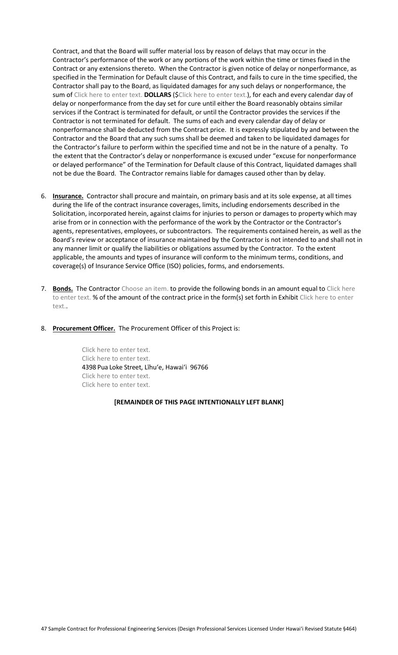Contract, and that the Board will suffer material loss by reason of delays that may occur in the Contractor's performance of the work or any portions of the work within the time or times fixed in the Contract or any extensions thereto. When the Contractor is given notice of delay or nonperformance, as specified in the Termination for Default clause of this Contract, and fails to cure in the time specified, the Contractor shall pay to the Board, as liquidated damages for any such delays or nonperformance, the sum of Click here to enter text. **DOLLARS** (\$Click here to enter text.), for each and every calendar day of delay or nonperformance from the day set for cure until either the Board reasonably obtains similar services if the Contract is terminated for default, or until the Contractor provides the services if the Contractor is not terminated for default. The sums of each and every calendar day of delay or nonperformance shall be deducted from the Contract price. It is expressly stipulated by and between the Contractor and the Board that any such sums shall be deemed and taken to be liquidated damages for the Contractor's failure to perform within the specified time and not be in the nature of a penalty. To the extent that the Contractor's delay or nonperformance is excused under "excuse for nonperformance or delayed performance" of the Termination for Default clause of this Contract, liquidated damages shall not be due the Board. The Contractor remains liable for damages caused other than by delay.

- 6. **Insurance.** Contractor shall procure and maintain, on primary basis and at its sole expense, at all times during the life of the contract insurance coverages, limits, including endorsements described in the Solicitation, incorporated herein, against claims for injuries to person or damages to property which may arise from or in connection with the performance of the work by the Contractor or the Contractor's agents, representatives, employees, or subcontractors. The requirements contained herein, as well as the Board's review or acceptance of insurance maintained by the Contractor is not intended to and shall not in any manner limit or qualify the liabilities or obligations assumed by the Contractor. To the extent applicable, the amounts and types of insurance will conform to the minimum terms, conditions, and coverage(s) of Insurance Service Office (ISO) policies, forms, and endorsements.
- 7. **Bonds.** The Contractor Choose an item. to provide the following bonds in an amount equal to Click here to enter text. % of the amount of the contract price in the form(s) set forth in Exhibit Click here to enter text..
- 8. **Procurement Officer.** The Procurement Officer of this Project is:

<span id="page-46-0"></span>Click here to enter text. Click here to enter text. 4398 Pua Loke Street, Līhuʻe, Hawaiʻi 96766 Click here to enter text. Click here to enter text.

#### **[REMAINDER OF THIS PAGE INTENTIONALLY LEFT BLANK]**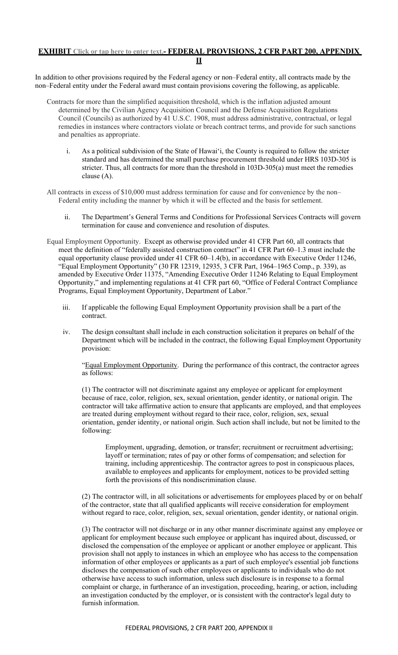## **EXHIBIT Click or tap here to enter text.- FEDERAL PROVISIONS, 2 CFR PART 200, APPENDIX II**

In addition to other provisions required by the Federal agency or non–Federal entity, all contracts made by the non–Federal entity under the Federal award must contain provisions covering the following, as applicable.

- Contracts for more than the simplified acquisition threshold, which is the inflation adjusted amount determined by the Civilian Agency Acquisition Council and the Defense Acquisition Regulations Council (Councils) as authorized by 41 U.S.C. 1908, must address administrative, contractual, or legal remedies in instances where contractors violate or breach contract terms, and provide for such sanctions and penalties as appropriate.
	- i. As a political subdivision of the State of Hawai'i, the County is required to follow the stricter standard and has determined the small purchase procurement threshold under HRS 103D-305 is stricter. Thus, all contracts for more than the threshold in 103D-305(a) must meet the remedies clause (A).
- All contracts in excess of \$10,000 must address termination for cause and for convenience by the non– Federal entity including the manner by which it will be effected and the basis for settlement.
	- ii. The Department's General Terms and Conditions for Professional Services Contracts will govern termination for cause and convenience and resolution of disputes.
- Equal Employment Opportunity. Except as otherwise provided under 41 CFR Part 60, all contracts that meet the definition of "federally assisted construction contract" in 41 CFR Part 60-1.3 must include the equal opportunity clause provided under 41 CFR 60–1.4(b), in accordance with Executive Order 11246, "Equal Employment Opportunity" (30 FR 12319, 12935, 3 CFR Part, 1964–1965 Comp., p. 339), as amended by Executive Order 11375, "Amending Executive Order 11246 Relating to Equal Employment Opportunity," and implementing regulations at 41 CFR part 60, "Office of Federal Contract Compliance Programs, Equal Employment Opportunity, Department of Labor."
	- iii. If applicable the following Equal Employment Opportunity provision shall be a part of the contract.
	- iv. The design consultant shall include in each construction solicitation it prepares on behalf of the Department which will be included in the contract, the following Equal Employment Opportunity provision:

"Equal Employment Opportunity. During the performance of this contract, the contractor agrees as follows:

(1) The contractor will not discriminate against any employee or applicant for employment because of race, color, religion, sex, sexual orientation, gender identity, or national origin. The contractor will take affirmative action to ensure that applicants are employed, and that employees are treated during employment without regard to their race, color, religion, sex, sexual orientation, gender identity, or national origin. Such action shall include, but not be limited to the following:

Employment, upgrading, demotion, or transfer; recruitment or recruitment advertising; layoff or termination; rates of pay or other forms of compensation; and selection for training, including apprenticeship. The contractor agrees to post in conspicuous places, available to employees and applicants for employment, notices to be provided setting forth the provisions of this nondiscrimination clause.

(2) The contractor will, in all solicitations or advertisements for employees placed by or on behalf of the contractor, state that all qualified applicants will receive consideration for employment without regard to race, color, religion, sex, sexual orientation, gender identity, or national origin.

(3) The contractor will not discharge or in any other manner discriminate against any employee or applicant for employment because such employee or applicant has inquired about, discussed, or disclosed the compensation of the employee or applicant or another employee or applicant. This provision shall not apply to instances in which an employee who has access to the compensation information of other employees or applicants as a part of such employee's essential job functions discloses the compensation of such other employees or applicants to individuals who do not otherwise have access to such information, unless such disclosure is in response to a formal complaint or charge, in furtherance of an investigation, proceeding, hearing, or action, including an investigation conducted by the employer, or is consistent with the contractor's legal duty to furnish information.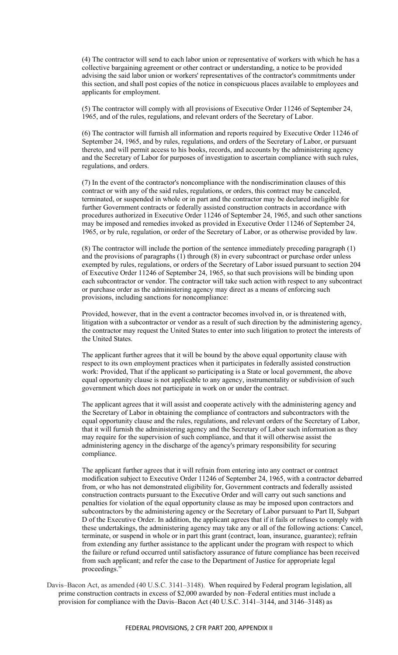(4) The contractor will send to each labor union or representative of workers with which he has a collective bargaining agreement or other contract or understanding, a notice to be provided advising the said labor union or workers' representatives of the contractor's commitments under this section, and shall post copies of the notice in conspicuous places available to employees and applicants for employment.

(5) The contractor will comply with all provisions of Executive Order 11246 of September 24, 1965, and of the rules, regulations, and relevant orders of the Secretary of Labor.

(6) The contractor will furnish all information and reports required by Executive Order 11246 of September 24, 1965, and by rules, regulations, and orders of the Secretary of Labor, or pursuant thereto, and will permit access to his books, records, and accounts by the administering agency and the Secretary of Labor for purposes of investigation to ascertain compliance with such rules, regulations, and orders.

(7) In the event of the contractor's noncompliance with the nondiscrimination clauses of this contract or with any of the said rules, regulations, or orders, this contract may be canceled, terminated, or suspended in whole or in part and the contractor may be declared ineligible for further Government contracts or federally assisted construction contracts in accordance with procedures authorized in Executive Order 11246 of September 24, 1965, and such other sanctions may be imposed and remedies invoked as provided in Executive Order 11246 of September 24, 1965, or by rule, regulation, or order of the Secretary of Labor, or as otherwise provided by law.

(8) The contractor will include the portion of the sentence immediately preceding paragraph (1) and the provisions of paragraphs (1) through (8) in every subcontract or purchase order unless exempted by rules, regulations, or orders of the Secretary of Labor issued pursuant to section 204 of Executive Order 11246 of September 24, 1965, so that such provisions will be binding upon each subcontractor or vendor. The contractor will take such action with respect to any subcontract or purchase order as the administering agency may direct as a means of enforcing such provisions, including sanctions for noncompliance:

Provided, however, that in the event a contractor becomes involved in, or is threatened with, litigation with a subcontractor or vendor as a result of such direction by the administering agency, the contractor may request the United States to enter into such litigation to protect the interests of the United States.

The applicant further agrees that it will be bound by the above equal opportunity clause with respect to its own employment practices when it participates in federally assisted construction work: Provided, That if the applicant so participating is a State or local government, the above equal opportunity clause is not applicable to any agency, instrumentality or subdivision of such government which does not participate in work on or under the contract.

The applicant agrees that it will assist and cooperate actively with the administering agency and the Secretary of Labor in obtaining the compliance of contractors and subcontractors with the equal opportunity clause and the rules, regulations, and relevant orders of the Secretary of Labor, that it will furnish the administering agency and the Secretary of Labor such information as they may require for the supervision of such compliance, and that it will otherwise assist the administering agency in the discharge of the agency's primary responsibility for securing compliance.

The applicant further agrees that it will refrain from entering into any contract or contract modification subject to Executive Order 11246 of September 24, 1965, with a contractor debarred from, or who has not demonstrated eligibility for, Government contracts and federally assisted construction contracts pursuant to the Executive Order and will carry out such sanctions and penalties for violation of the equal opportunity clause as may be imposed upon contractors and subcontractors by the administering agency or the Secretary of Labor pursuant to Part II, Subpart D of the Executive Order. In addition, the applicant agrees that if it fails or refuses to comply with these undertakings, the administering agency may take any or all of the following actions: Cancel, terminate, or suspend in whole or in part this grant (contract, loan, insurance, guarantee); refrain from extending any further assistance to the applicant under the program with respect to which the failure or refund occurred until satisfactory assurance of future compliance has been received from such applicant; and refer the case to the Department of Justice for appropriate legal proceedings."

Davis–Bacon Act, as amended (40 U.S.C. 3141–3148). When required by Federal program legislation, all prime construction contracts in excess of \$2,000 awarded by non–Federal entities must include a provision for compliance with the Davis–Bacon Act (40 U.S.C. 3141–3144, and 3146–3148) as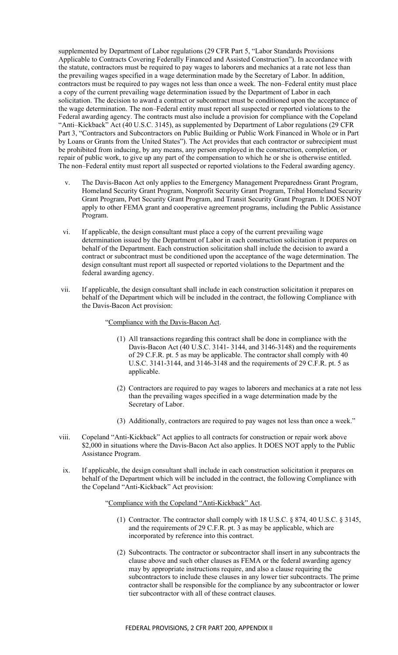supplemented by Department of Labor regulations (29 CFR Part 5, "Labor Standards Provisions Applicable to Contracts Covering Federally Financed and Assisted Construction"). In accordance with the statute, contractors must be required to pay wages to laborers and mechanics at a rate not less than the prevailing wages specified in a wage determination made by the Secretary of Labor. In addition, contractors must be required to pay wages not less than once a week. The non–Federal entity must place a copy of the current prevailing wage determination issued by the Department of Labor in each solicitation. The decision to award a contract or subcontract must be conditioned upon the acceptance of the wage determination. The non–Federal entity must report all suspected or reported violations to the Federal awarding agency. The contracts must also include a provision for compliance with the Copeland "Anti–Kickback" Act (40 U.S.C. 3145), as supplemented by Department of Labor regulations (29 CFR Part 3, "Contractors and Subcontractors on Public Building or Public Work Financed in Whole or in Part by Loans or Grants from the United States"). The Act provides that each contractor or subrecipient must be prohibited from inducing, by any means, any person employed in the construction, completion, or repair of public work, to give up any part of the compensation to which he or she is otherwise entitled. The non–Federal entity must report all suspected or reported violations to the Federal awarding agency.

- The Davis-Bacon Act only applies to the Emergency Management Preparedness Grant Program, Homeland Security Grant Program, Nonprofit Security Grant Program, Tribal Homeland Security Grant Program, Port Security Grant Program, and Transit Security Grant Program. It DOES NOT apply to other FEMA grant and cooperative agreement programs, including the Public Assistance Program.
- vi. If applicable, the design consultant must place a copy of the current prevailing wage determination issued by the Department of Labor in each construction solicitation it prepares on behalf of the Department. Each construction solicitation shall include the decision to award a contract or subcontract must be conditioned upon the acceptance of the wage determination. The design consultant must report all suspected or reported violations to the Department and the federal awarding agency.
- vii. If applicable, the design consultant shall include in each construction solicitation it prepares on behalf of the Department which will be included in the contract, the following Compliance with the Davis-Bacon Act provision:

"Compliance with the Davis-Bacon Act.

- (1) All transactions regarding this contract shall be done in compliance with the Davis-Bacon Act (40 U.S.C. 3141- 3144, and 3146-3148) and the requirements of 29 C.F.R. pt. 5 as may be applicable. The contractor shall comply with 40 U.S.C. 3141-3144, and 3146-3148 and the requirements of 29 C.F.R. pt. 5 as applicable.
- (2) Contractors are required to pay wages to laborers and mechanics at a rate not less than the prevailing wages specified in a wage determination made by the Secretary of Labor.
- (3) Additionally, contractors are required to pay wages not less than once a week."
- viii. Copeland "Anti-Kickback" Act applies to all contracts for construction or repair work above \$2,000 in situations where the Davis-Bacon Act also applies. It DOES NOT apply to the Public Assistance Program.
- ix. If applicable, the design consultant shall include in each construction solicitation it prepares on behalf of the Department which will be included in the contract, the following Compliance with the Copeland "Anti-Kickback" Act provision:

"Compliance with the Copeland "Anti-Kickback" Act.

- (1) Contractor. The contractor shall comply with 18 U.S.C. § 874, 40 U.S.C. § 3145, and the requirements of 29 C.F.R. pt. 3 as may be applicable, which are incorporated by reference into this contract.
- (2) Subcontracts. The contractor or subcontractor shall insert in any subcontracts the clause above and such other clauses as FEMA or the federal awarding agency may by appropriate instructions require, and also a clause requiring the subcontractors to include these clauses in any lower tier subcontracts. The prime contractor shall be responsible for the compliance by any subcontractor or lower tier subcontractor with all of these contract clauses.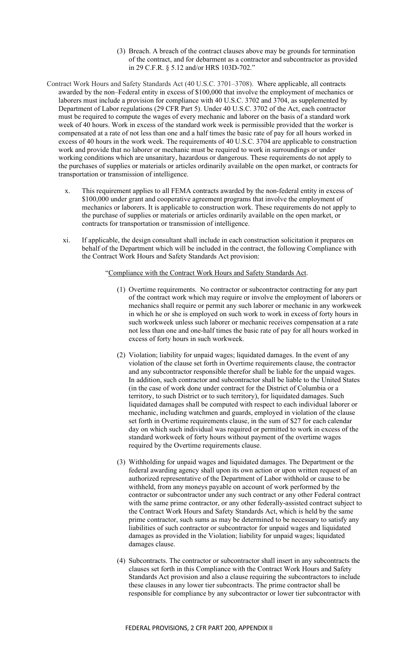- (3) Breach. A breach of the contract clauses above may be grounds for termination of the contract, and for debarment as a contractor and subcontractor as provided in 29 C.F.R. § 5.12 and/or HRS 103D-702."
- Contract Work Hours and Safety Standards Act (40 U.S.C. 3701–3708). Where applicable, all contracts awarded by the non–Federal entity in excess of \$100,000 that involve the employment of mechanics or laborers must include a provision for compliance with 40 U.S.C. 3702 and 3704, as supplemented by Department of Labor regulations (29 CFR Part 5). Under 40 U.S.C. 3702 of the Act, each contractor must be required to compute the wages of every mechanic and laborer on the basis of a standard work week of 40 hours. Work in excess of the standard work week is permissible provided that the worker is compensated at a rate of not less than one and a half times the basic rate of pay for all hours worked in excess of 40 hours in the work week. The requirements of 40 U.S.C. 3704 are applicable to construction work and provide that no laborer or mechanic must be required to work in surroundings or under working conditions which are unsanitary, hazardous or dangerous. These requirements do not apply to the purchases of supplies or materials or articles ordinarily available on the open market, or contracts for transportation or transmission of intelligence.
	- x. This requirement applies to all FEMA contracts awarded by the non-federal entity in excess of \$100,000 under grant and cooperative agreement programs that involve the employment of mechanics or laborers. It is applicable to construction work. These requirements do not apply to the purchase of supplies or materials or articles ordinarily available on the open market, or contracts for transportation or transmission of intelligence.
	- xi. If applicable, the design consultant shall include in each construction solicitation it prepares on behalf of the Department which will be included in the contract, the following Compliance with the Contract Work Hours and Safety Standards Act provision:

### "Compliance with the Contract Work Hours and Safety Standards Act.

- (1) Overtime requirements. No contractor or subcontractor contracting for any part of the contract work which may require or involve the employment of laborers or mechanics shall require or permit any such laborer or mechanic in any workweek in which he or she is employed on such work to work in excess of forty hours in such workweek unless such laborer or mechanic receives compensation at a rate not less than one and one-half times the basic rate of pay for all hours worked in excess of forty hours in such workweek.
- (2) Violation; liability for unpaid wages; liquidated damages. In the event of any violation of the clause set forth in Overtime requirements clause, the contractor and any subcontractor responsible therefor shall be liable for the unpaid wages. In addition, such contractor and subcontractor shall be liable to the United States (in the case of work done under contract for the District of Columbia or a territory, to such District or to such territory), for liquidated damages. Such liquidated damages shall be computed with respect to each individual laborer or mechanic, including watchmen and guards, employed in violation of the clause set forth in Overtime requirements clause, in the sum of \$27 for each calendar day on which such individual was required or permitted to work in excess of the standard workweek of forty hours without payment of the overtime wages required by the Overtime requirements clause.
- (3) Withholding for unpaid wages and liquidated damages. The Department or the federal awarding agency shall upon its own action or upon written request of an authorized representative of the Department of Labor withhold or cause to be withheld, from any moneys payable on account of work performed by the contractor or subcontractor under any such contract or any other Federal contract with the same prime contractor, or any other federally-assisted contract subject to the Contract Work Hours and Safety Standards Act, which is held by the same prime contractor, such sums as may be determined to be necessary to satisfy any liabilities of such contractor or subcontractor for unpaid wages and liquidated damages as provided in the Violation; liability for unpaid wages; liquidated damages clause.
- (4) Subcontracts. The contractor or subcontractor shall insert in any subcontracts the clauses set forth in this Compliance with the Contract Work Hours and Safety Standards Act provision and also a clause requiring the subcontractors to include these clauses in any lower tier subcontracts. The prime contractor shall be responsible for compliance by any subcontractor or lower tier subcontractor with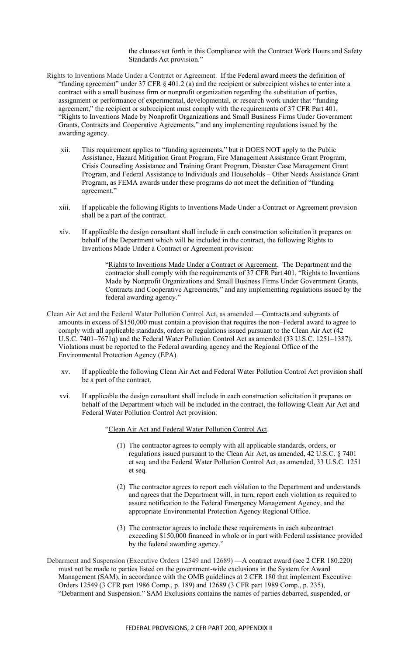the clauses set forth in this Compliance with the Contract Work Hours and Safety Standards Act provision."

- Rights to Inventions Made Under a Contract or Agreement. If the Federal award meets the definition of "funding agreement" under 37 CFR § 401.2 (a) and the recipient or subrecipient wishes to enter into a contract with a small business firm or nonprofit organization regarding the substitution of parties, assignment or performance of experimental, developmental, or research work under that "funding agreement," the recipient or subrecipient must comply with the requirements of 37 CFR Part 401, "Rights to Inventions Made by Nonprofit Organizations and Small Business Firms Under Government Grants, Contracts and Cooperative Agreements," and any implementing regulations issued by the awarding agency.
	- xii. This requirement applies to "funding agreements," but it DOES NOT apply to the Public Assistance, Hazard Mitigation Grant Program, Fire Management Assistance Grant Program, Crisis Counseling Assistance and Training Grant Program, Disaster Case Management Grant Program, and Federal Assistance to Individuals and Households – Other Needs Assistance Grant Program, as FEMA awards under these programs do not meet the definition of "funding agreement."
	- xiii. If applicable the following Rights to Inventions Made Under a Contract or Agreement provision shall be a part of the contract.
	- xiv. If applicable the design consultant shall include in each construction solicitation it prepares on behalf of the Department which will be included in the contract, the following Rights to Inventions Made Under a Contract or Agreement provision:

"Rights to Inventions Made Under a Contract or Agreement. The Department and the contractor shall comply with the requirements of 37 CFR Part 401, "Rights to Inventions Made by Nonprofit Organizations and Small Business Firms Under Government Grants, Contracts and Cooperative Agreements," and any implementing regulations issued by the federal awarding agency."

- Clean Air Act and the Federal Water Pollution Control Act, as amended —Contracts and subgrants of amounts in excess of \$150,000 must contain a provision that requires the non–Federal award to agree to comply with all applicable standards, orders or regulations issued pursuant to the Clean Air Act (42 U.S.C. 7401–7671q) and the Federal Water Pollution Control Act as amended (33 U.S.C. 1251–1387). Violations must be reported to the Federal awarding agency and the Regional Office of the Environmental Protection Agency (EPA).
	- xv. If applicable the following Clean Air Act and Federal Water Pollution Control Act provision shall be a part of the contract.
	- xvi. If applicable the design consultant shall include in each construction solicitation it prepares on behalf of the Department which will be included in the contract, the following Clean Air Act and Federal Water Pollution Control Act provision:

"Clean Air Act and Federal Water Pollution Control Act.

- (1) The contractor agrees to comply with all applicable standards, orders, or regulations issued pursuant to the Clean Air Act, as amended, 42 U.S.C. § 7401 et seq. and the Federal Water Pollution Control Act, as amended, 33 U.S.C. 1251 et seq.
- (2) The contractor agrees to report each violation to the Department and understands and agrees that the Department will, in turn, report each violation as required to assure notification to the Federal Emergency Management Agency, and the appropriate Environmental Protection Agency Regional Office.
- (3) The contractor agrees to include these requirements in each subcontract exceeding \$150,000 financed in whole or in part with Federal assistance provided by the federal awarding agency."
- Debarment and Suspension (Executive Orders 12549 and 12689) —A contract award (see 2 CFR 180.220) must not be made to parties listed on the government-wide exclusions in the System for Award Management (SAM), in accordance with the OMB guidelines at 2 CFR 180 that implement Executive Orders 12549 (3 CFR part 1986 Comp., p. 189) and 12689 (3 CFR part 1989 Comp., p. 235), "Debarment and Suspension." SAM Exclusions contains the names of parties debarred, suspended, or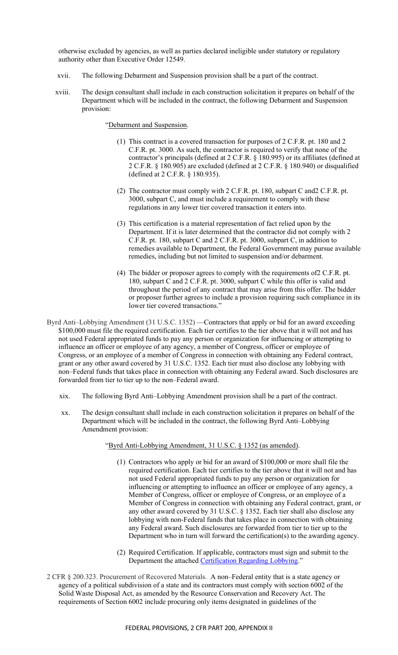otherwise excluded by agencies, as well as parties declared ineligible under statutory or regulatory authority other than Executive Order 12549.

- xvii. The following Debarment and Suspension provision shall be a part of the contract.
- xviii. The design consultant shall include in each construction solicitation it prepares on behalf of the Department which will be included in the contract, the following Debarment and Suspension provision:

"Debarment and Suspension.

- (1) This contract is a covered transaction for purposes of 2 C.F.R. pt. 180 and 2 C.F.R. pt. 3000. As such, the contractor is required to verify that none of the contractor's principals (defined at 2 C.F.R. § 180.995) or its affiliates (defined at 2 C.F.R. § 180.905) are excluded (defined at 2 C.F.R. § 180.940) or disqualified (defined at 2 C.F.R. § 180.935).
- (2) The contractor must comply with 2 C.F.R. pt. 180, subpart C and2 C.F.R. pt. 3000, subpart C, and must include a requirement to comply with these regulations in any lower tier covered transaction it enters into.
- (3) This certification is a material representation of fact relied upon by the Department. If it is later determined that the contractor did not comply with 2 C.F.R. pt. 180, subpart C and 2 C.F.R. pt. 3000, subpart C, in addition to remedies available to Department, the Federal Government may pursue available remedies, including but not limited to suspension and/or debarment.
- (4) The bidder or proposer agrees to comply with the requirements of2 C.F.R. pt. 180, subpart C and 2 C.F.R. pt. 3000, subpart C while this offer is valid and throughout the period of any contract that may arise from this offer. The bidder or proposer further agrees to include a provision requiring such compliance in its lower tier covered transactions."
- Byrd Anti–Lobbying Amendment (31 U.S.C. 1352) —Contractors that apply or bid for an award exceeding \$100,000 must file the required certification. Each tier certifies to the tier above that it will not and has not used Federal appropriated funds to pay any person or organization for influencing or attempting to influence an officer or employee of any agency, a member of Congress, officer or employee of Congress, or an employee of a member of Congress in connection with obtaining any Federal contract, grant or any other award covered by 31 U.S.C. 1352. Each tier must also disclose any lobbying with non–Federal funds that takes place in connection with obtaining any Federal award. Such disclosures are forwarded from tier to tier up to the non–Federal award.
	- xix. The following Byrd Anti–Lobbying Amendment provision shall be a part of the contract.
	- xx. The design consultant shall include in each construction solicitation it prepares on behalf of the Department which will be included in the contract, the following Byrd Anti–Lobbying Amendment provision:

"Byrd Anti-Lobbying Amendment, 31 U.S.C. § 1352 (as amended).

- (1) Contractors who apply or bid for an award of \$100,000 or more shall file the required certification. Each tier certifies to the tier above that it will not and has not used Federal appropriated funds to pay any person or organization for influencing or attempting to influence an officer or employee of any agency, a Member of Congress, officer or employee of Congress, or an employee of a Member of Congress in connection with obtaining any Federal contract, grant, or any other award covered by 31 U.S.C. § 1352. Each tier shall also disclose any lobbying with non-Federal funds that takes place in connection with obtaining any Federal award. Such disclosures are forwarded from tier to tier up to the Department who in turn will forward the certification(s) to the awarding agency.
- (2) Required Certification. If applicable, contractors must sign and submit to the Department the attached [Certification Regarding Lobbying.](#page-55-0)"
- 2 CFR § 200.323. Procurement of Recovered Materials. A non–Federal entity that is a state agency or agency of a political subdivision of a state and its contractors must comply with section 6002 of the Solid Waste Disposal Act, as amended by the Resource Conservation and Recovery Act. The requirements of Section 6002 include procuring only items designated in guidelines of the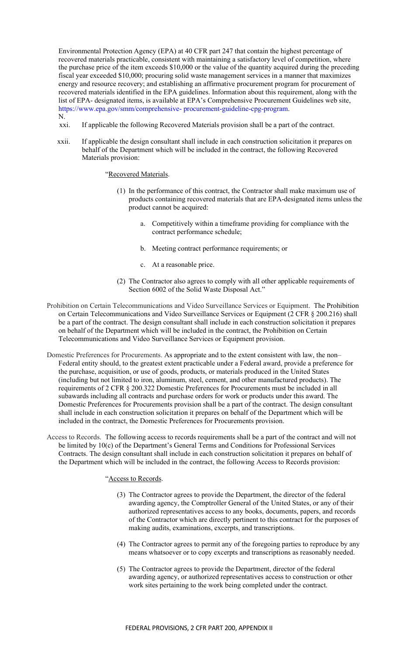Environmental Protection Agency (EPA) at 40 CFR part 247 that contain the highest percentage of recovered materials practicable, consistent with maintaining a satisfactory level of competition, where the purchase price of the item exceeds \$10,000 or the value of the quantity acquired during the preceding fiscal year exceeded \$10,000; procuring solid waste management services in a manner that maximizes energy and resource recovery; and establishing an affirmative procurement program for procurement of recovered materials identified in the EPA guidelines. Information about this requirement, along with the list of EPA- designated items, is available at EPA's Comprehensive Procurement Guidelines web site, https://www.epa.gov/smm/comprehensive- procurement-guideline-cpg-program. N.

xxi. If applicable the following Recovered Materials provision shall be a part of the contract.

xxii. If applicable the design consultant shall include in each construction solicitation it prepares on behalf of the Department which will be included in the contract, the following Recovered Materials provision:

### "Recovered Materials.

- (1) In the performance of this contract, the Contractor shall make maximum use of products containing recovered materials that are EPA-designated items unless the product cannot be acquired:
	- a. Competitively within a timeframe providing for compliance with the contract performance schedule;
	- b. Meeting contract performance requirements; or
	- c. At a reasonable price.
- (2) The Contractor also agrees to comply with all other applicable requirements of Section 6002 of the Solid Waste Disposal Act."
- Prohibition on Certain Telecommunications and Video Surveillance Services or Equipment. The Prohibition on Certain Telecommunications and Video Surveillance Services or Equipment (2 CFR § 200.216) shall be a part of the contract. The design consultant shall include in each construction solicitation it prepares on behalf of the Department which will be included in the contract, the Prohibition on Certain Telecommunications and Video Surveillance Services or Equipment provision.
- Domestic Preferences for Procurements. As appropriate and to the extent consistent with law, the non– Federal entity should, to the greatest extent practicable under a Federal award, provide a preference for the purchase, acquisition, or use of goods, products, or materials produced in the United States (including but not limited to iron, aluminum, steel, cement, and other manufactured products). The requirements of 2 CFR § 200.322 Domestic Preferences for Procurements must be included in all subawards including all contracts and purchase orders for work or products under this award. The Domestic Preferences for Procurements provision shall be a part of the contract. The design consultant shall include in each construction solicitation it prepares on behalf of the Department which will be included in the contract, the Domestic Preferences for Procurements provision.
- Access to Records. The following access to records requirements shall be a part of the contract and will not be limited by 10(c) of the Department's General Terms and Conditions for Professional Services Contracts. The design consultant shall include in each construction solicitation it prepares on behalf of the Department which will be included in the contract, the following Access to Records provision:

"Access to Records.

- (3) The Contractor agrees to provide the Department, the director of the federal awarding agency, the Comptroller General of the United States, or any of their authorized representatives access to any books, documents, papers, and records of the Contractor which are directly pertinent to this contract for the purposes of making audits, examinations, excerpts, and transcriptions.
- (4) The Contractor agrees to permit any of the foregoing parties to reproduce by any means whatsoever or to copy excerpts and transcriptions as reasonably needed.
- (5) The Contractor agrees to provide the Department, director of the federal awarding agency, or authorized representatives access to construction or other work sites pertaining to the work being completed under the contract.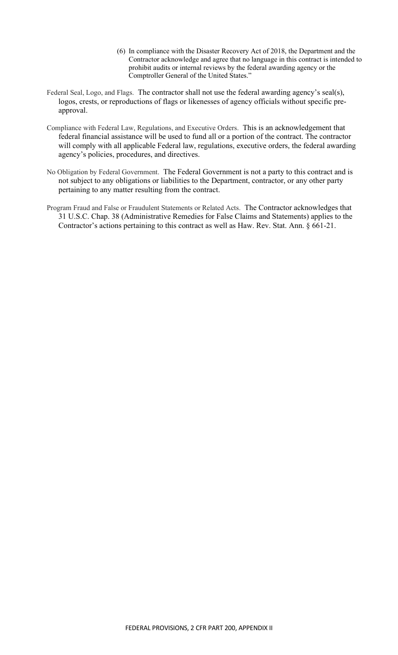- (6) In compliance with the Disaster Recovery Act of 2018, the Department and the Contractor acknowledge and agree that no language in this contract is intended to prohibit audits or internal reviews by the federal awarding agency or the Comptroller General of the United States."
- Federal Seal, Logo, and Flags. The contractor shall not use the federal awarding agency's seal(s), logos, crests, or reproductions of flags or likenesses of agency officials without specific preapproval.
- Compliance with Federal Law, Regulations, and Executive Orders. This is an acknowledgement that federal financial assistance will be used to fund all or a portion of the contract. The contractor will comply with all applicable Federal law, regulations, executive orders, the federal awarding agency's policies, procedures, and directives.
- No Obligation by Federal Government. The Federal Government is not a party to this contract and is not subject to any obligations or liabilities to the Department, contractor, or any other party pertaining to any matter resulting from the contract.
- Program Fraud and False or Fraudulent Statements or Related Acts. The Contractor acknowledges that 31 U.S.C. Chap. 38 (Administrative Remedies for False Claims and Statements) applies to the Contractor's actions pertaining to this contract as well as Haw. Rev. Stat. Ann. § 661-21.